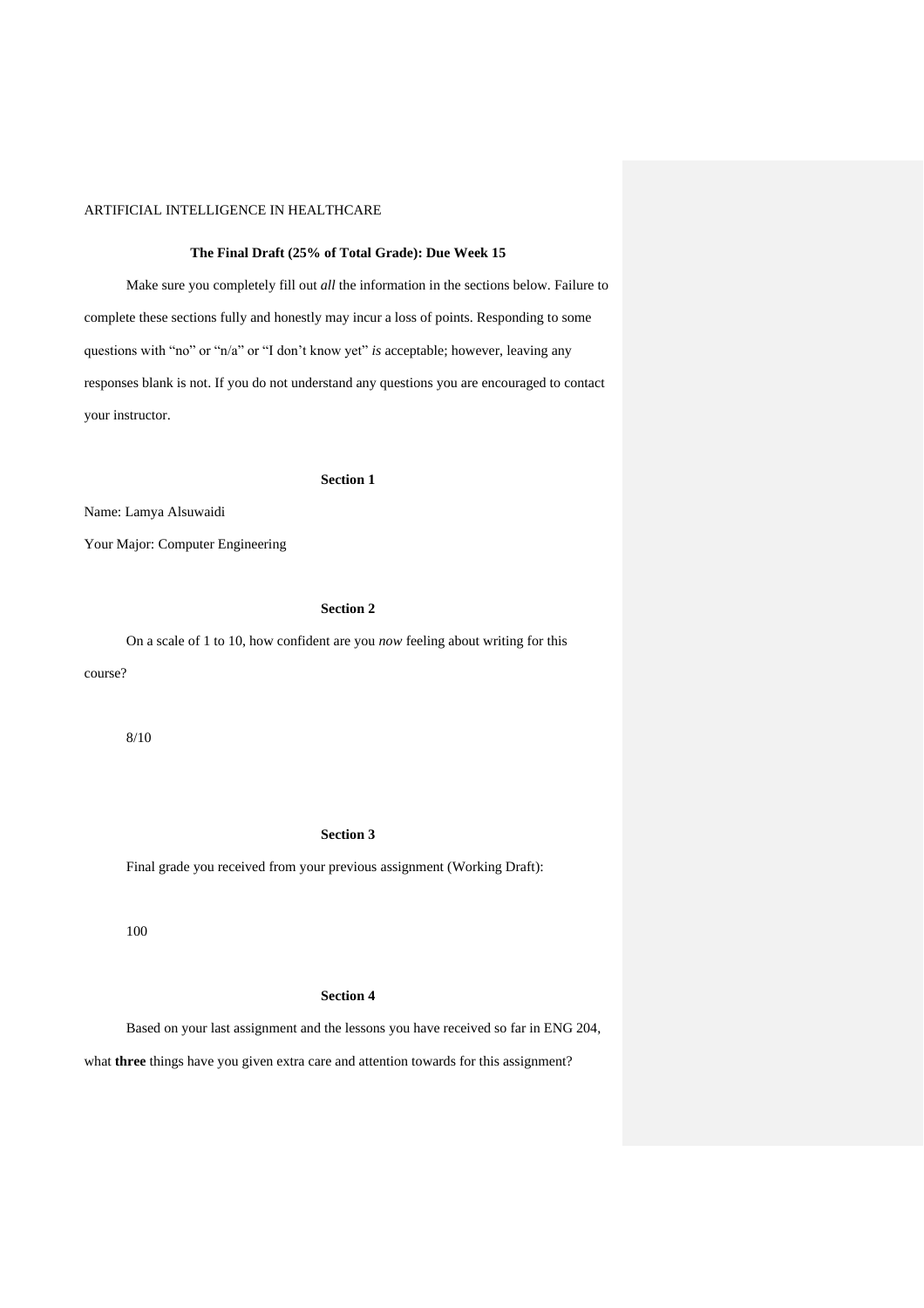#### **The Final Draft (25% of Total Grade): Due Week 15**

Make sure you completely fill out *all* the information in the sections below. Failure to complete these sections fully and honestly may incur a loss of points. Responding to some questions with "no" or "n/a" or "I don't know yet" *is* acceptable; however, leaving any responses blank is not. If you do not understand any questions you are encouraged to contact your instructor.

#### **Section 1**

Name: Lamya Alsuwaidi

Your Major: Computer Engineering

# **Section 2**

On a scale of 1 to 10, how confident are you *now* feeling about writing for this course?

8/10

# **Section 3**

Final grade you received from your previous assignment (Working Draft):

100

# **Section 4**

Based on your last assignment and the lessons you have received so far in ENG 204,

what **three** things have you given extra care and attention towards for this assignment?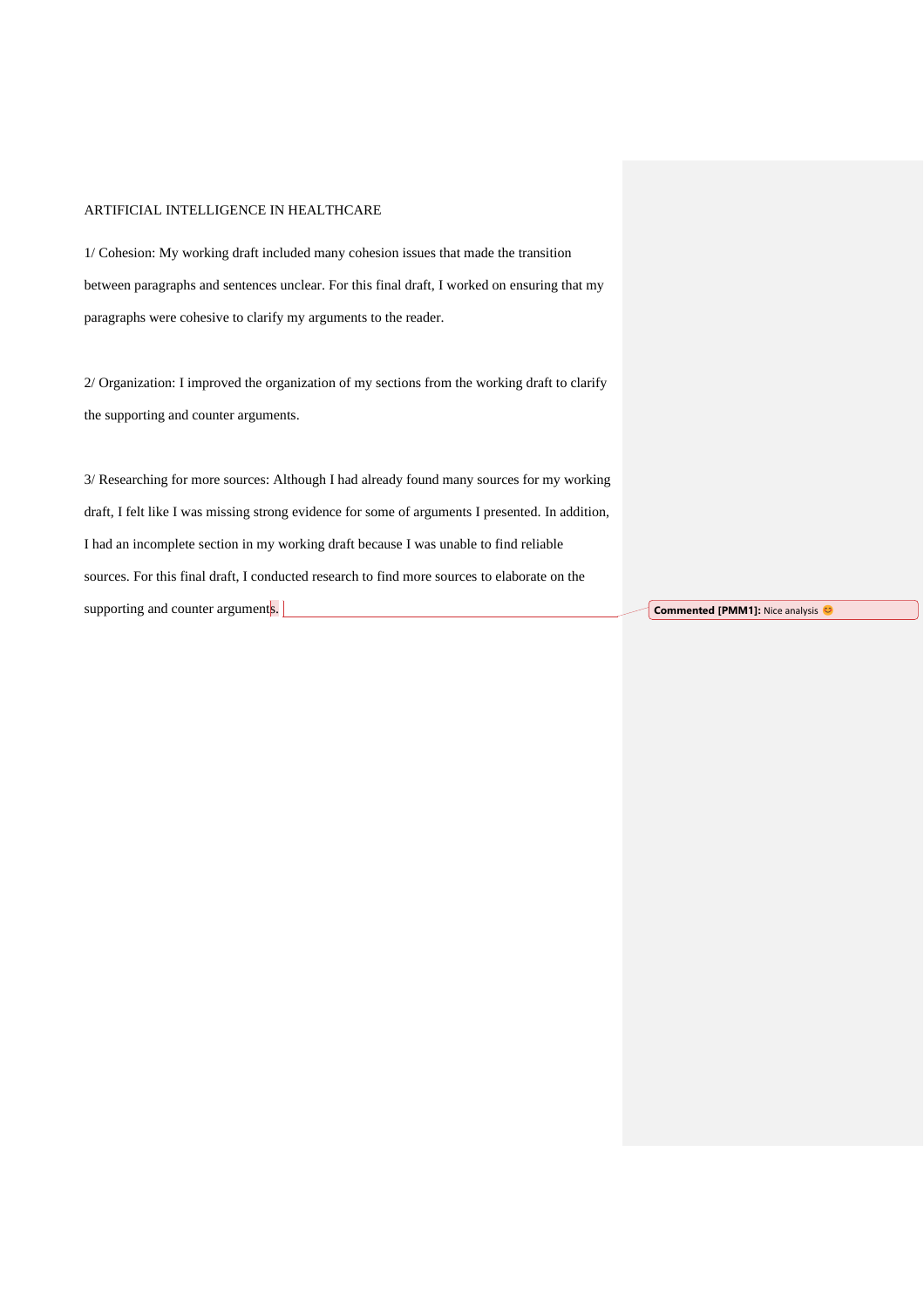1/ Cohesion: My working draft included many cohesion issues that made the transition between paragraphs and sentences unclear. For this final draft, I worked on ensuring that my paragraphs were cohesive to clarify my arguments to the reader.

2/ Organization: I improved the organization of my sections from the working draft to clarify the supporting and counter arguments.

3/ Researching for more sources: Although I had already found many sources for my working draft, I felt like I was missing strong evidence for some of arguments I presented. In addition, I had an incomplete section in my working draft because I was unable to find reliable sources. For this final draft, I conducted research to find more sources to elaborate on the supporting and counter arguments.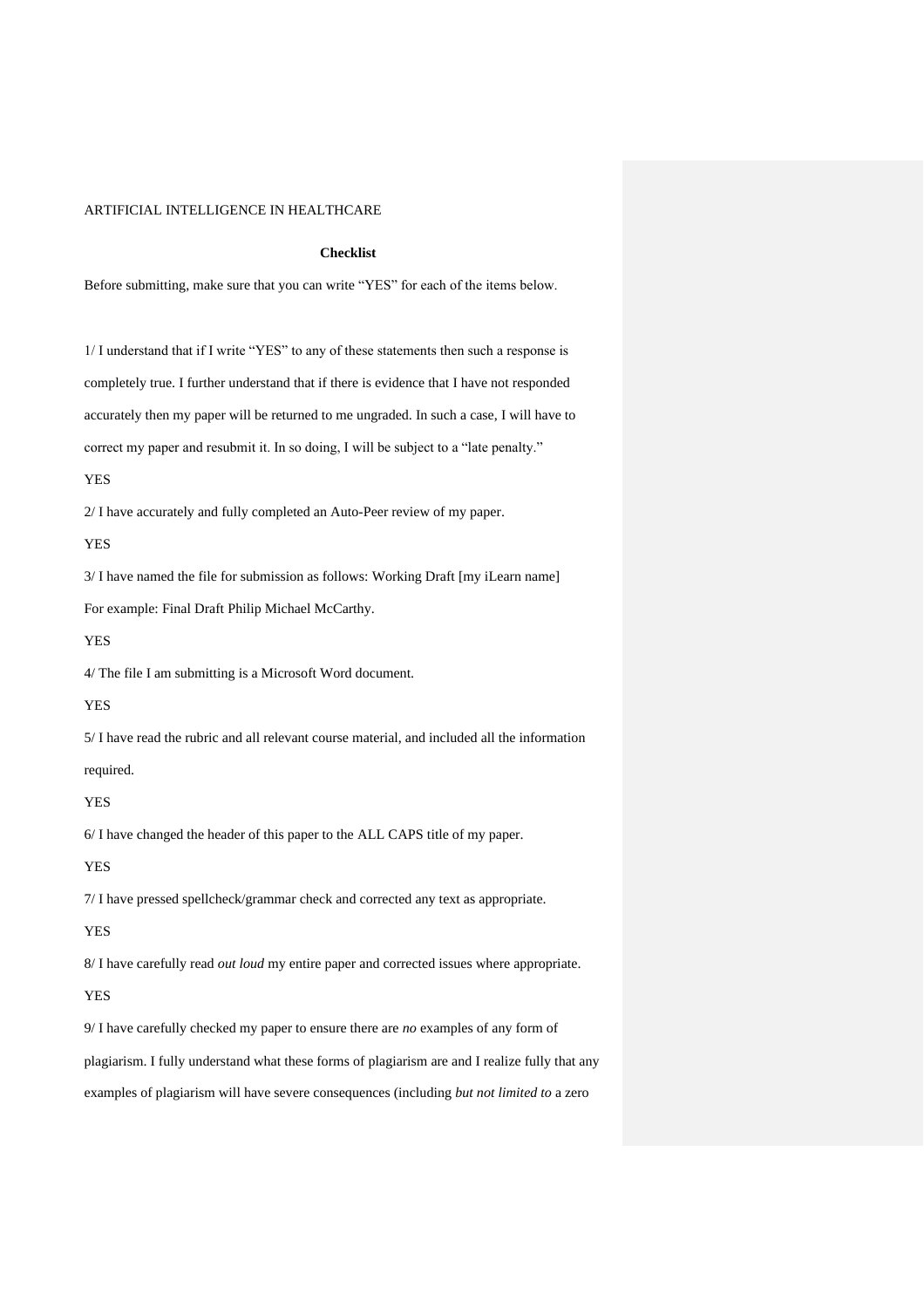## **Checklist**

Before submitting, make sure that you can write "YES" for each of the items below.

1/ I understand that if I write "YES" to any of these statements then such a response is completely true. I further understand that if there is evidence that I have not responded accurately then my paper will be returned to me ungraded. In such a case, I will have to correct my paper and resubmit it. In so doing, I will be subject to a "late penalty."

#### YES

2/ I have accurately and fully completed an Auto-Peer review of my paper.

YES

3/ I have named the file for submission as follows: Working Draft [my iLearn name]

For example: Final Draft Philip Michael McCarthy.

YES

4/ The file I am submitting is a Microsoft Word document.

YES

5/ I have read the rubric and all relevant course material, and included all the information

# required.

YES

6/ I have changed the header of this paper to the ALL CAPS title of my paper.

### YES

7/ I have pressed spellcheck/grammar check and corrected any text as appropriate.

# YES

8/ I have carefully read *out loud* my entire paper and corrected issues where appropriate.

# YES

9/ I have carefully checked my paper to ensure there are *no* examples of any form of plagiarism. I fully understand what these forms of plagiarism are and I realize fully that any

examples of plagiarism will have severe consequences (including *but not limited to* a zero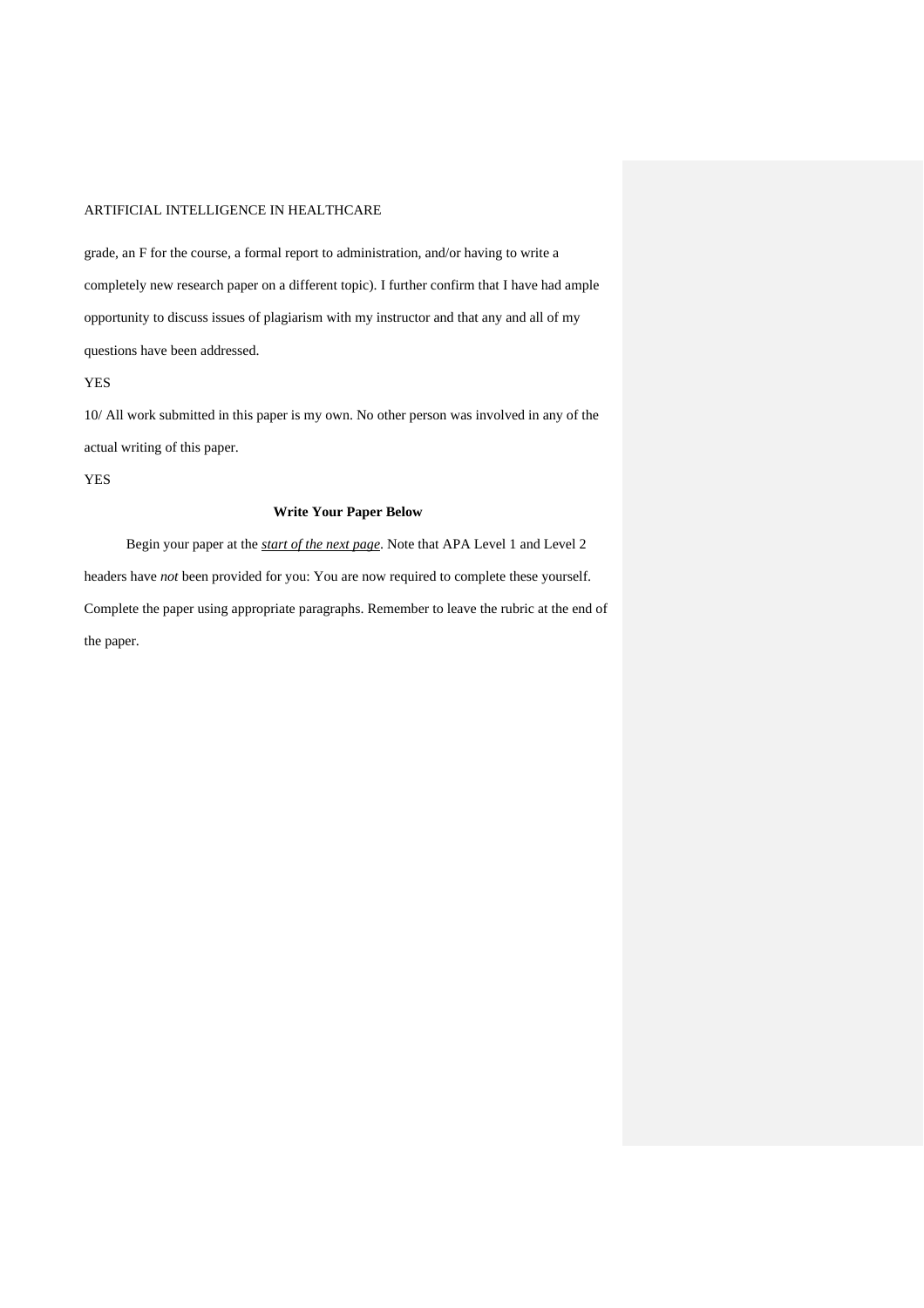grade, an F for the course, a formal report to administration, and/or having to write a completely new research paper on a different topic). I further confirm that I have had ample opportunity to discuss issues of plagiarism with my instructor and that any and all of my questions have been addressed.

YES

10/ All work submitted in this paper is my own. No other person was involved in any of the actual writing of this paper.

YES

# **Write Your Paper Below**

Begin your paper at the *start of the next page*. Note that APA Level 1 and Level 2 headers have *not* been provided for you: You are now required to complete these yourself. Complete the paper using appropriate paragraphs. Remember to leave the rubric at the end of the paper.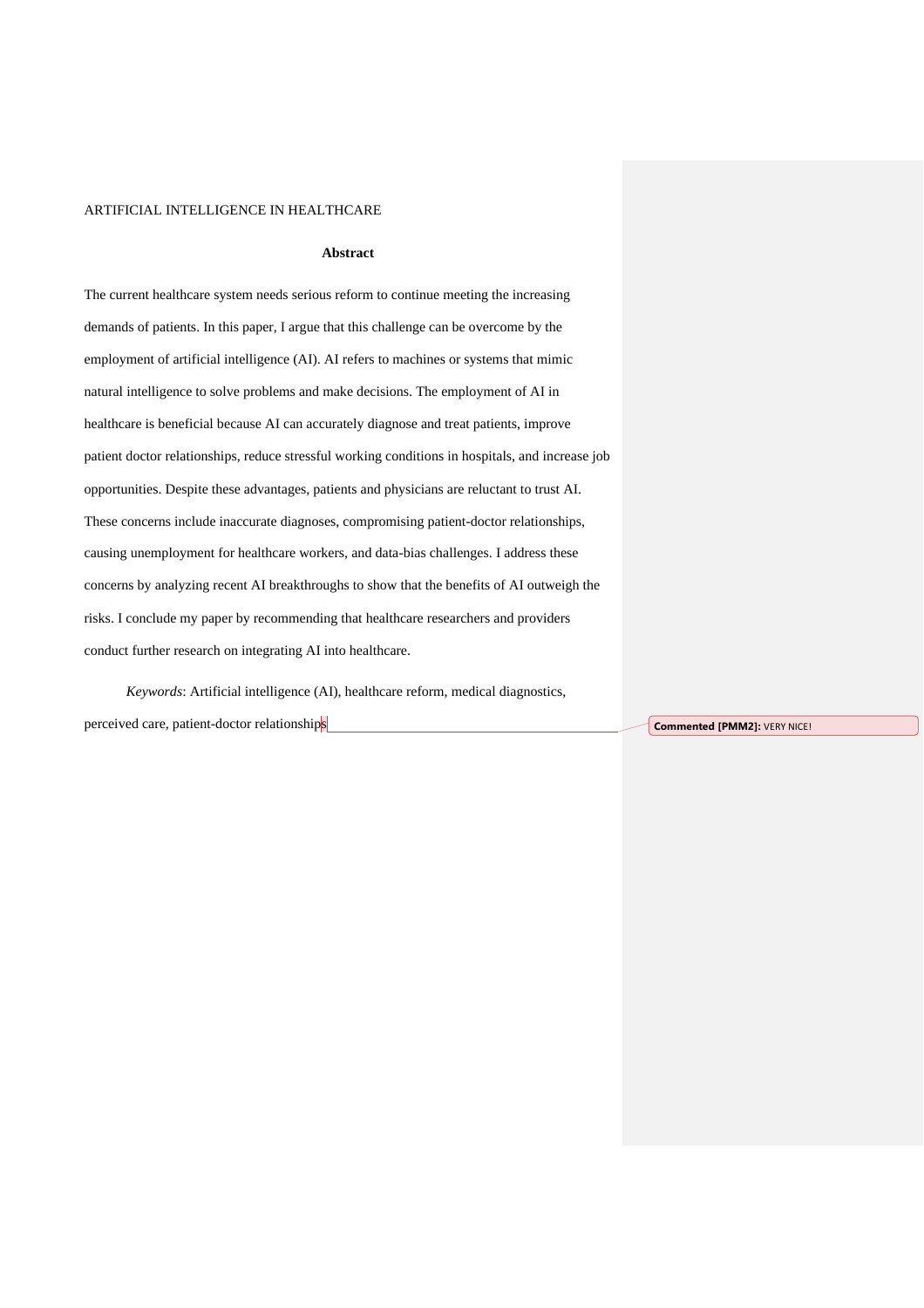## **Abstract**

The current healthcare system needs serious reform to continue meeting the increasing demands of patients. In this paper, I argue that this challenge can be overcome by the employment of artificial intelligence (AI). AI refers to machines or systems that mimic natural intelligence to solve problems and make decisions. The employment of AI in healthcare is beneficial because AI can accurately diagnose and treat patients, improve patient doctor relationships, reduce stressful working conditions in hospitals, and increase job opportunities. Despite these advantages, patients and physicians are reluctant to trust AI. These concerns include inaccurate diagnoses, compromising patient-doctor relationships, causing unemployment for healthcare workers, and data-bias challenges. I address these concerns by analyzing recent AI breakthroughs to show that the benefits of AI outweigh the risks. I conclude my paper by recommending that healthcare researchers and providers conduct further research on integrating AI into healthcare.

*Keywords*: Artificial intelligence (AI), healthcare reform, medical diagnostics, perceived care, patient-doctor relationships **Commented [PMM2]:** VERY NICE!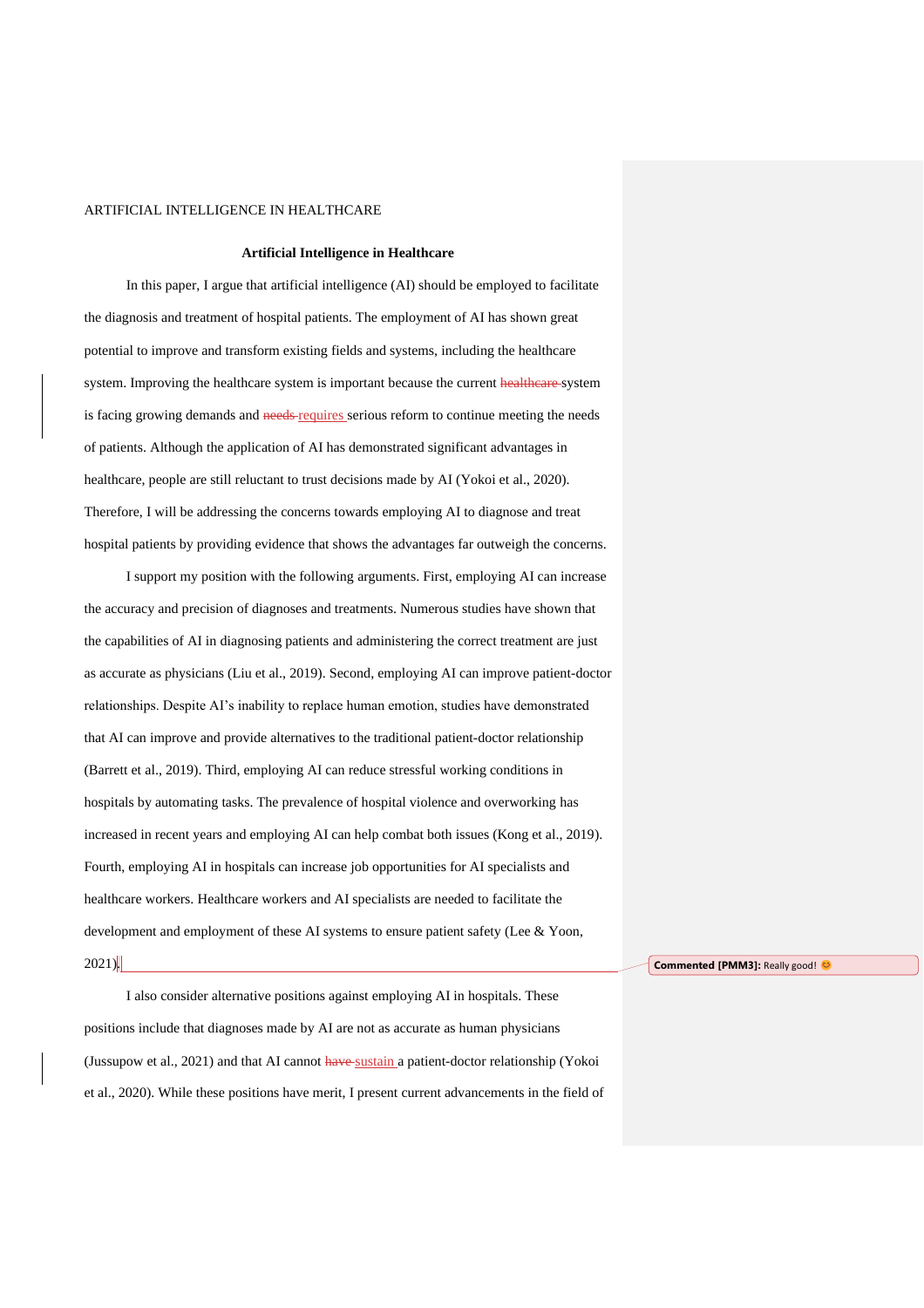#### **Artificial Intelligence in Healthcare**

In this paper, I argue that artificial intelligence (AI) should be employed to facilitate the diagnosis and treatment of hospital patients. The employment of AI has shown great potential to improve and transform existing fields and systems, including the healthcare system. Improving the healthcare system is important because the current healthcare system is facing growing demands and needs-requires serious reform to continue meeting the needs of patients. Although the application of AI has demonstrated significant advantages in healthcare, people are still reluctant to trust decisions made by AI (Yokoi et al., 2020). Therefore, I will be addressing the concerns towards employing AI to diagnose and treat hospital patients by providing evidence that shows the advantages far outweigh the concerns.

I support my position with the following arguments. First, employing AI can increase the accuracy and precision of diagnoses and treatments. Numerous studies have shown that the capabilities of AI in diagnosing patients and administering the correct treatment are just as accurate as physicians (Liu et al., 2019). Second, employing AI can improve patient-doctor relationships. Despite AI's inability to replace human emotion, studies have demonstrated that AI can improve and provide alternatives to the traditional patient-doctor relationship (Barrett et al., 2019). Third, employing AI can reduce stressful working conditions in hospitals by automating tasks. The prevalence of hospital violence and overworking has increased in recent years and employing AI can help combat both issues (Kong et al., 2019). Fourth, employing AI in hospitals can increase job opportunities for AI specialists and healthcare workers. Healthcare workers and AI specialists are needed to facilitate the development and employment of these AI systems to ensure patient safety (Lee & Yoon, 2021).

I also consider alternative positions against employing AI in hospitals. These positions include that diagnoses made by AI are not as accurate as human physicians (Jussupow et al., 2021) and that AI cannot have sustain a patient-doctor relationship (Yokoi et al., 2020). While these positions have merit, I present current advancements in the field of **Commented [PMM3]: Really good!**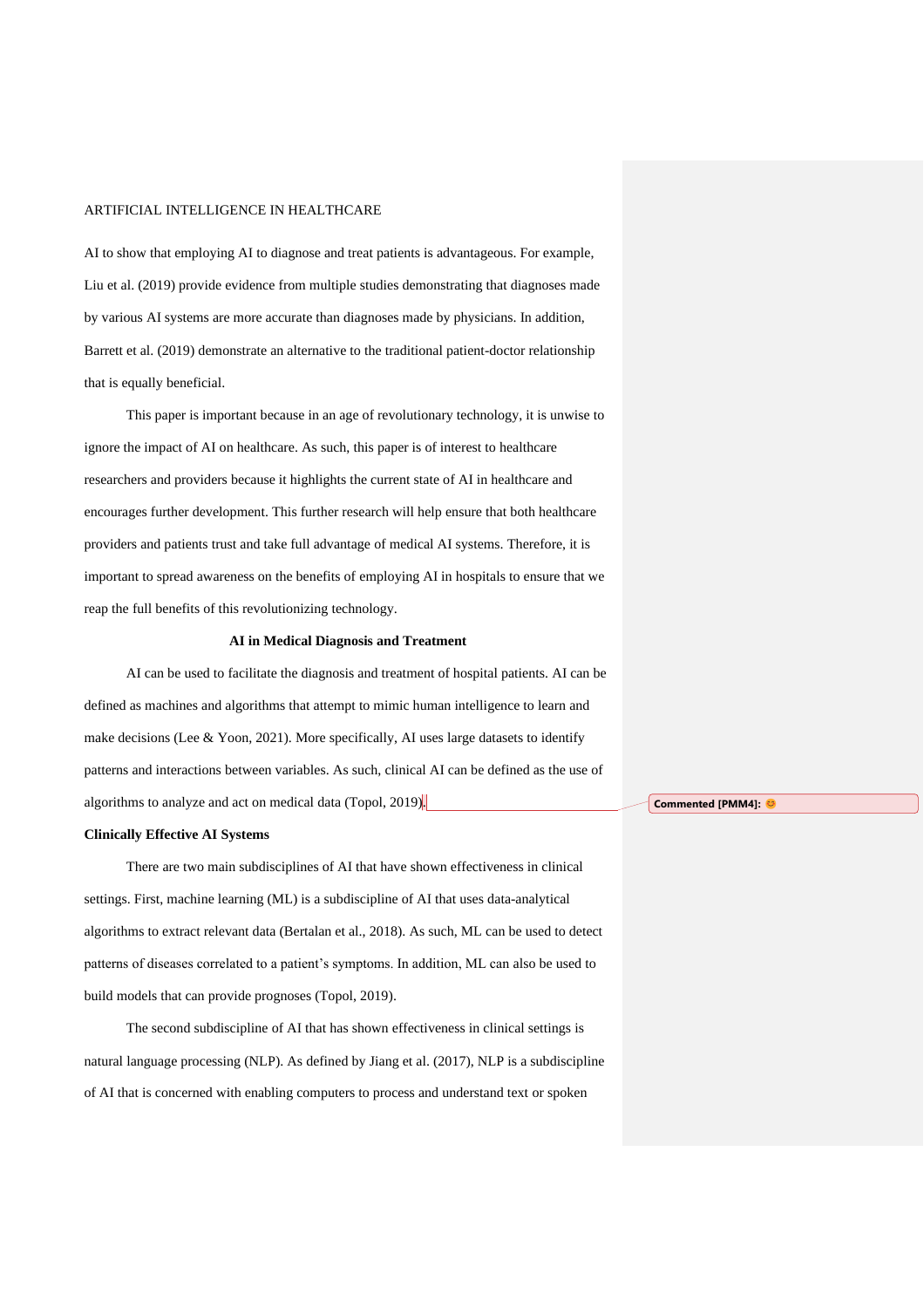AI to show that employing AI to diagnose and treat patients is advantageous. For example, Liu et al. (2019) provide evidence from multiple studies demonstrating that diagnoses made by various AI systems are more accurate than diagnoses made by physicians. In addition, Barrett et al. (2019) demonstrate an alternative to the traditional patient-doctor relationship that is equally beneficial.

This paper is important because in an age of revolutionary technology, it is unwise to ignore the impact of AI on healthcare. As such, this paper is of interest to healthcare researchers and providers because it highlights the current state of AI in healthcare and encourages further development. This further research will help ensure that both healthcare providers and patients trust and take full advantage of medical AI systems. Therefore, it is important to spread awareness on the benefits of employing AI in hospitals to ensure that we reap the full benefits of this revolutionizing technology.

#### **AI in Medical Diagnosis and Treatment**

AI can be used to facilitate the diagnosis and treatment of hospital patients. AI can be defined as machines and algorithms that attempt to mimic human intelligence to learn and make decisions (Lee & Yoon, 2021). More specifically, AI uses large datasets to identify patterns and interactions between variables. As such, clinical AI can be defined as the use of algorithms to analyze and act on medical data (Topol, 2019).

#### **Clinically Effective AI Systems**

There are two main subdisciplines of AI that have shown effectiveness in clinical settings. First, machine learning (ML) is a subdiscipline of AI that uses data-analytical algorithms to extract relevant data (Bertalan et al., 2018). As such, ML can be used to detect patterns of diseases correlated to a patient's symptoms. In addition, ML can also be used to build models that can provide prognoses (Topol, 2019).

The second subdiscipline of AI that has shown effectiveness in clinical settings is natural language processing (NLP). As defined by Jiang et al. (2017), NLP is a subdiscipline of AI that is concerned with enabling computers to process and understand text or spoken

**Commented [PMM4]:**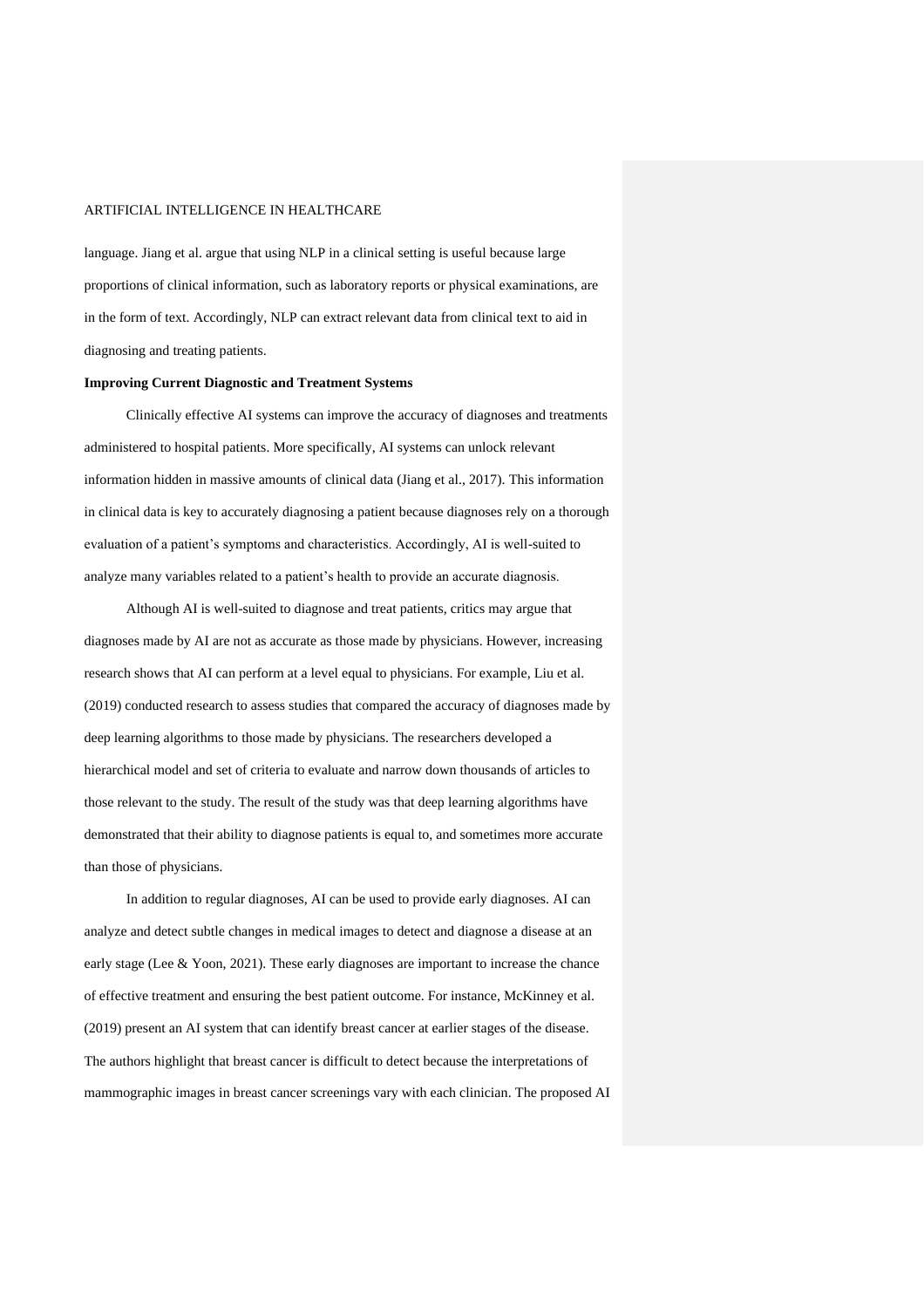language. Jiang et al. argue that using NLP in a clinical setting is useful because large proportions of clinical information, such as laboratory reports or physical examinations, are in the form of text. Accordingly, NLP can extract relevant data from clinical text to aid in diagnosing and treating patients.

#### **Improving Current Diagnostic and Treatment Systems**

Clinically effective AI systems can improve the accuracy of diagnoses and treatments administered to hospital patients. More specifically, AI systems can unlock relevant information hidden in massive amounts of clinical data (Jiang et al., 2017). This information in clinical data is key to accurately diagnosing a patient because diagnoses rely on a thorough evaluation of a patient's symptoms and characteristics. Accordingly, AI is well-suited to analyze many variables related to a patient's health to provide an accurate diagnosis.

Although AI is well-suited to diagnose and treat patients, critics may argue that diagnoses made by AI are not as accurate as those made by physicians. However, increasing research shows that AI can perform at a level equal to physicians. For example, Liu et al. (2019) conducted research to assess studies that compared the accuracy of diagnoses made by deep learning algorithms to those made by physicians. The researchers developed a hierarchical model and set of criteria to evaluate and narrow down thousands of articles to those relevant to the study. The result of the study was that deep learning algorithms have demonstrated that their ability to diagnose patients is equal to, and sometimes more accurate than those of physicians.

In addition to regular diagnoses, AI can be used to provide early diagnoses. AI can analyze and detect subtle changes in medical images to detect and diagnose a disease at an early stage (Lee & Yoon, 2021). These early diagnoses are important to increase the chance of effective treatment and ensuring the best patient outcome. For instance, McKinney et al. (2019) present an AI system that can identify breast cancer at earlier stages of the disease. The authors highlight that breast cancer is difficult to detect because the interpretations of mammographic images in breast cancer screenings vary with each clinician. The proposed AI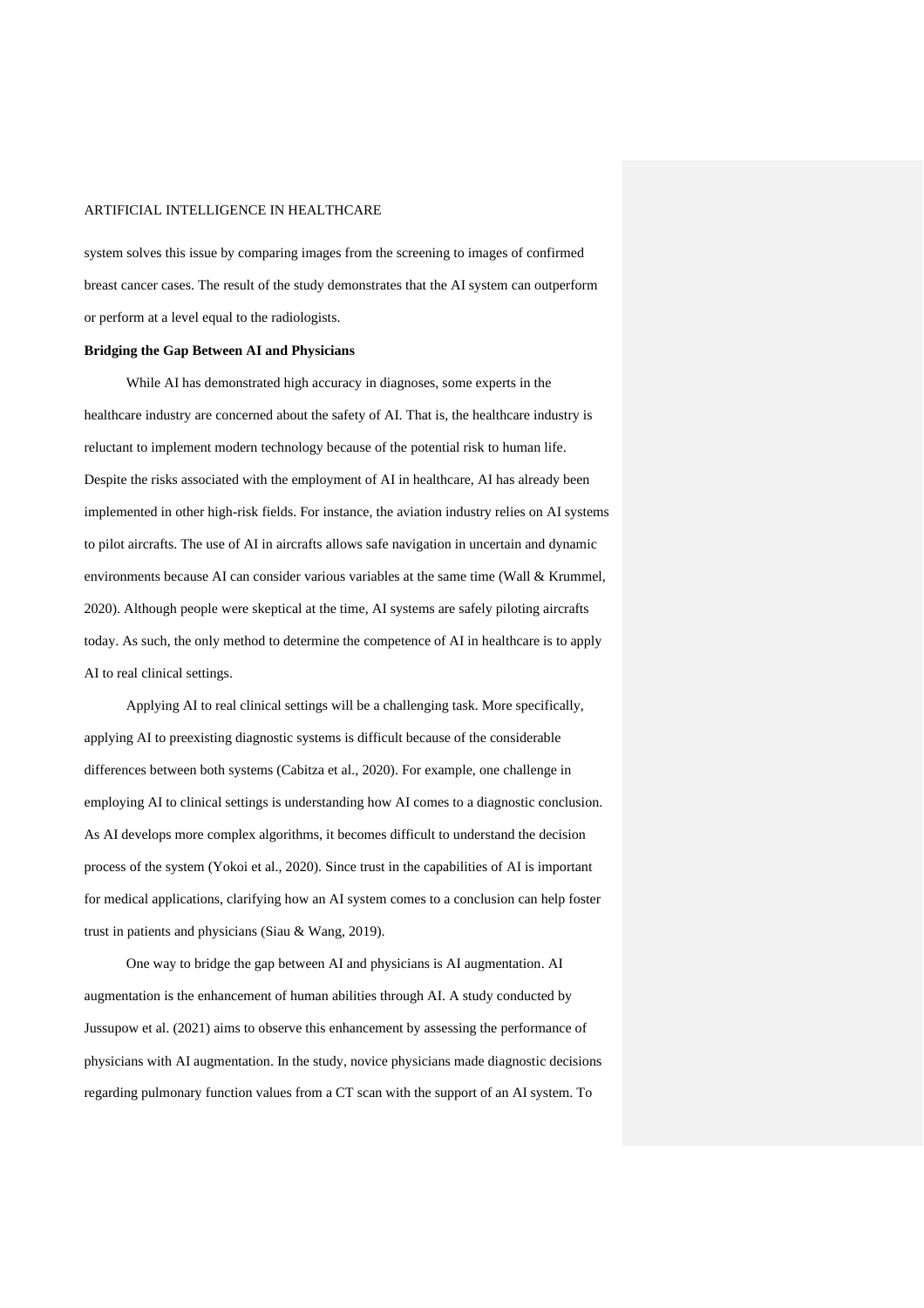system solves this issue by comparing images from the screening to images of confirmed breast cancer cases. The result of the study demonstrates that the AI system can outperform or perform at a level equal to the radiologists.

#### **Bridging the Gap Between AI and Physicians**

While AI has demonstrated high accuracy in diagnoses, some experts in the healthcare industry are concerned about the safety of AI. That is, the healthcare industry is reluctant to implement modern technology because of the potential risk to human life. Despite the risks associated with the employment of AI in healthcare, AI has already been implemented in other high-risk fields. For instance, the aviation industry relies on AI systems to pilot aircrafts. The use of AI in aircrafts allows safe navigation in uncertain and dynamic environments because AI can consider various variables at the same time (Wall & Krummel, 2020). Although people were skeptical at the time, AI systems are safely piloting aircrafts today. As such, the only method to determine the competence of AI in healthcare is to apply AI to real clinical settings.

Applying AI to real clinical settings will be a challenging task. More specifically, applying AI to preexisting diagnostic systems is difficult because of the considerable differences between both systems (Cabitza et al., 2020). For example, one challenge in employing AI to clinical settings is understanding how AI comes to a diagnostic conclusion. As AI develops more complex algorithms, it becomes difficult to understand the decision process of the system (Yokoi et al., 2020). Since trust in the capabilities of AI is important for medical applications, clarifying how an AI system comes to a conclusion can help foster trust in patients and physicians (Siau & Wang, 2019).

One way to bridge the gap between AI and physicians is AI augmentation. AI augmentation is the enhancement of human abilities through AI. A study conducted by Jussupow et al. (2021) aims to observe this enhancement by assessing the performance of physicians with AI augmentation. In the study, novice physicians made diagnostic decisions regarding pulmonary function values from a CT scan with the support of an AI system. To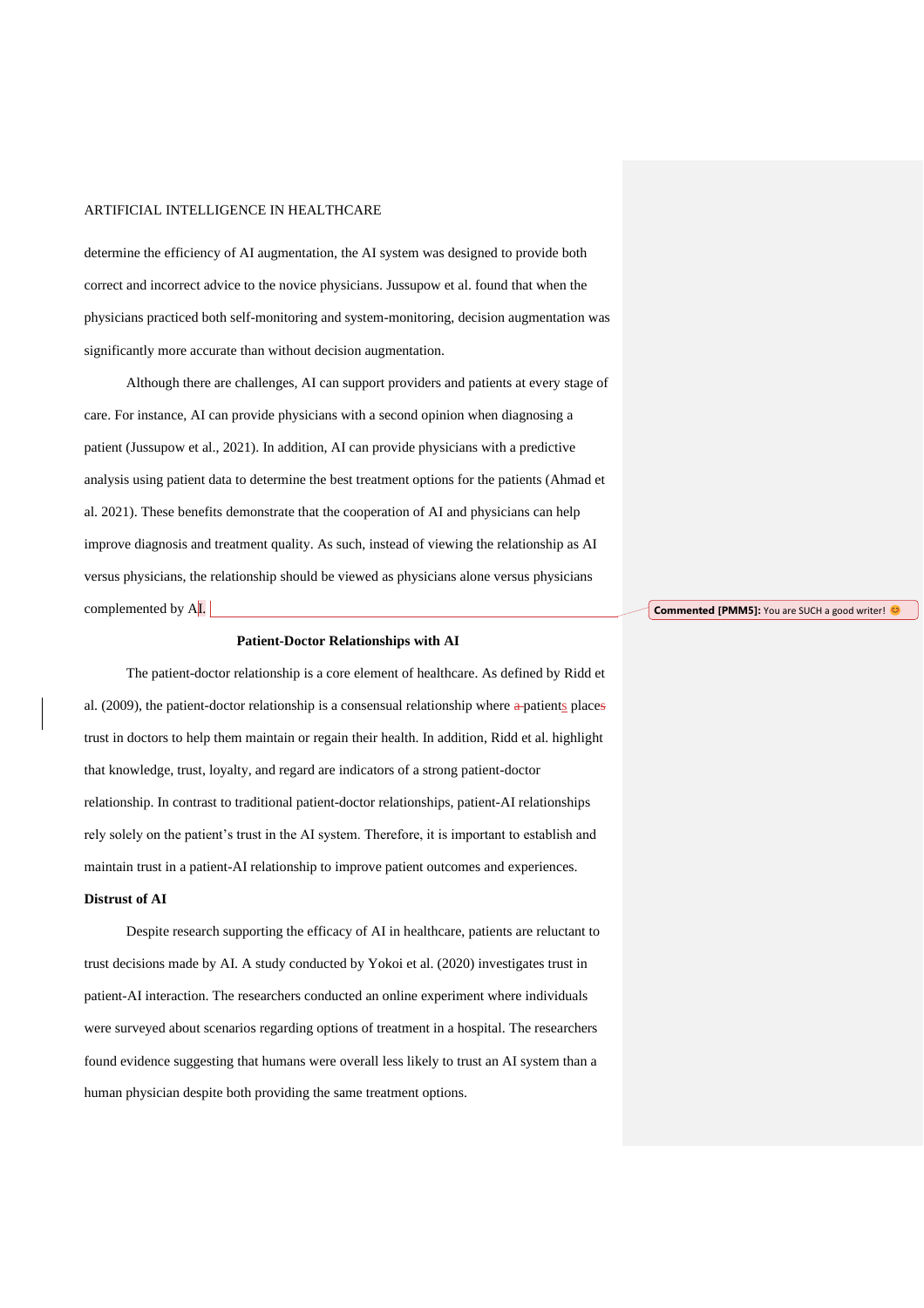determine the efficiency of AI augmentation, the AI system was designed to provide both correct and incorrect advice to the novice physicians. Jussupow et al. found that when the physicians practiced both self-monitoring and system-monitoring, decision augmentation was significantly more accurate than without decision augmentation.

Although there are challenges, AI can support providers and patients at every stage of care. For instance, AI can provide physicians with a second opinion when diagnosing a patient (Jussupow et al., 2021). In addition, AI can provide physicians with a predictive analysis using patient data to determine the best treatment options for the patients (Ahmad et al. 2021). These benefits demonstrate that the cooperation of AI and physicians can help improve diagnosis and treatment quality. As such, instead of viewing the relationship as AI versus physicians, the relationship should be viewed as physicians alone versus physicians complemented by AI.

#### **Patient-Doctor Relationships with AI**

The patient-doctor relationship is a core element of healthcare. As defined by Ridd et al. (2009), the patient-doctor relationship is a consensual relationship where  $a$ -patients places trust in doctors to help them maintain or regain their health. In addition, Ridd et al. highlight that knowledge, trust, loyalty, and regard are indicators of a strong patient-doctor relationship. In contrast to traditional patient-doctor relationships, patient-AI relationships rely solely on the patient's trust in the AI system. Therefore, it is important to establish and maintain trust in a patient-AI relationship to improve patient outcomes and experiences.

### **Distrust of AI**

Despite research supporting the efficacy of AI in healthcare, patients are reluctant to trust decisions made by AI. A study conducted by Yokoi et al. (2020) investigates trust in patient-AI interaction. The researchers conducted an online experiment where individuals were surveyed about scenarios regarding options of treatment in a hospital. The researchers found evidence suggesting that humans were overall less likely to trust an AI system than a human physician despite both providing the same treatment options.

**Commented [PMM5]:** You are SUCH a good writer!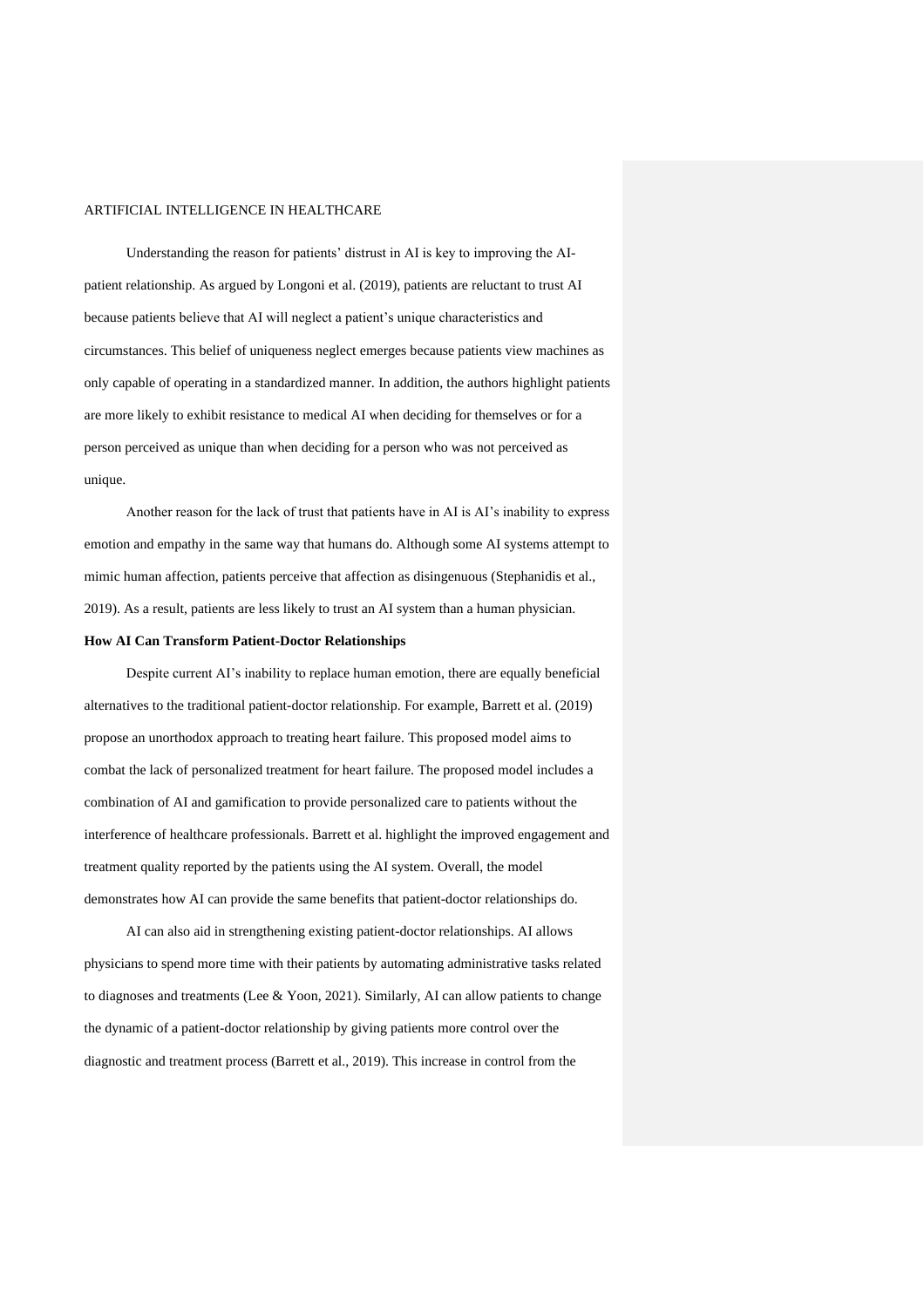Understanding the reason for patients' distrust in AI is key to improving the AIpatient relationship. As argued by Longoni et al. (2019), patients are reluctant to trust AI because patients believe that AI will neglect a patient's unique characteristics and circumstances. This belief of uniqueness neglect emerges because patients view machines as only capable of operating in a standardized manner. In addition, the authors highlight patients are more likely to exhibit resistance to medical AI when deciding for themselves or for a person perceived as unique than when deciding for a person who was not perceived as unique.

Another reason for the lack of trust that patients have in AI is AI's inability to express emotion and empathy in the same way that humans do. Although some AI systems attempt to mimic human affection, patients perceive that affection as disingenuous (Stephanidis et al., 2019). As a result, patients are less likely to trust an AI system than a human physician.

#### **How AI Can Transform Patient-Doctor Relationships**

Despite current AI's inability to replace human emotion, there are equally beneficial alternatives to the traditional patient-doctor relationship. For example, Barrett et al. (2019) propose an unorthodox approach to treating heart failure. This proposed model aims to combat the lack of personalized treatment for heart failure. The proposed model includes a combination of AI and gamification to provide personalized care to patients without the interference of healthcare professionals. Barrett et al. highlight the improved engagement and treatment quality reported by the patients using the AI system. Overall, the model demonstrates how AI can provide the same benefits that patient-doctor relationships do.

AI can also aid in strengthening existing patient-doctor relationships. AI allows physicians to spend more time with their patients by automating administrative tasks related to diagnoses and treatments (Lee & Yoon, 2021). Similarly, AI can allow patients to change the dynamic of a patient-doctor relationship by giving patients more control over the diagnostic and treatment process (Barrett et al., 2019). This increase in control from the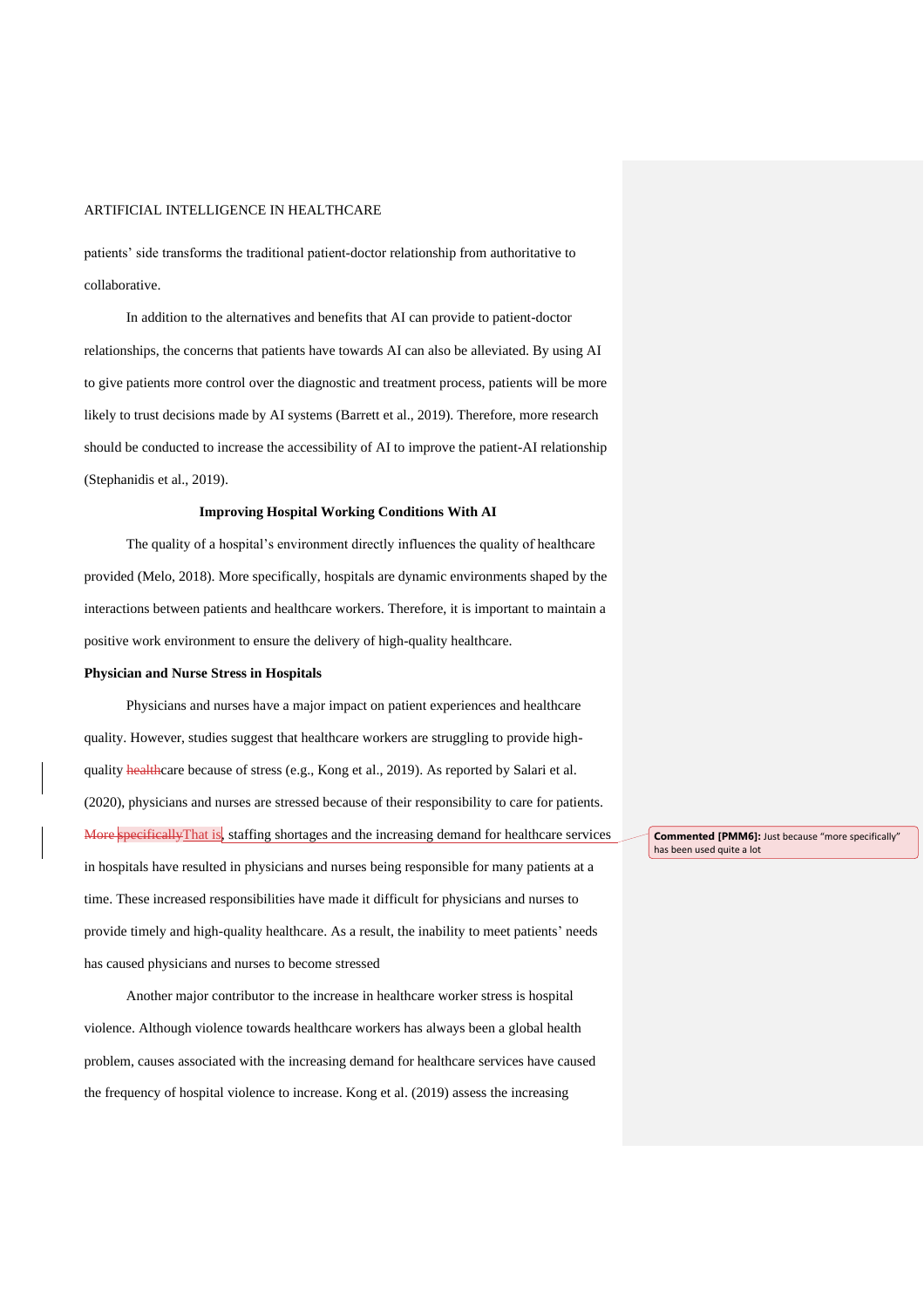patients' side transforms the traditional patient-doctor relationship from authoritative to collaborative.

In addition to the alternatives and benefits that AI can provide to patient-doctor relationships, the concerns that patients have towards AI can also be alleviated. By using AI to give patients more control over the diagnostic and treatment process, patients will be more likely to trust decisions made by AI systems (Barrett et al., 2019). Therefore, more research should be conducted to increase the accessibility of AI to improve the patient-AI relationship (Stephanidis et al., 2019).

#### **Improving Hospital Working Conditions With AI**

The quality of a hospital's environment directly influences the quality of healthcare provided (Melo, 2018). More specifically, hospitals are dynamic environments shaped by the interactions between patients and healthcare workers. Therefore, it is important to maintain a positive work environment to ensure the delivery of high-quality healthcare.

#### **Physician and Nurse Stress in Hospitals**

Physicians and nurses have a major impact on patient experiences and healthcare quality. However, studies suggest that healthcare workers are struggling to provide highquality **health**care because of stress (e.g., Kong et al., 2019). As reported by Salari et al. (2020), physicians and nurses are stressed because of their responsibility to care for patients. More specifically That is, staffing shortages and the increasing demand for healthcare services in hospitals have resulted in physicians and nurses being responsible for many patients at a time. These increased responsibilities have made it difficult for physicians and nurses to provide timely and high-quality healthcare. As a result, the inability to meet patients' needs has caused physicians and nurses to become stressed

Another major contributor to the increase in healthcare worker stress is hospital violence. Although violence towards healthcare workers has always been a global health problem, causes associated with the increasing demand for healthcare services have caused the frequency of hospital violence to increase. Kong et al. (2019) assess the increasing

**Commented [PMM6]:** Just because "more specifically" has been used quite a lot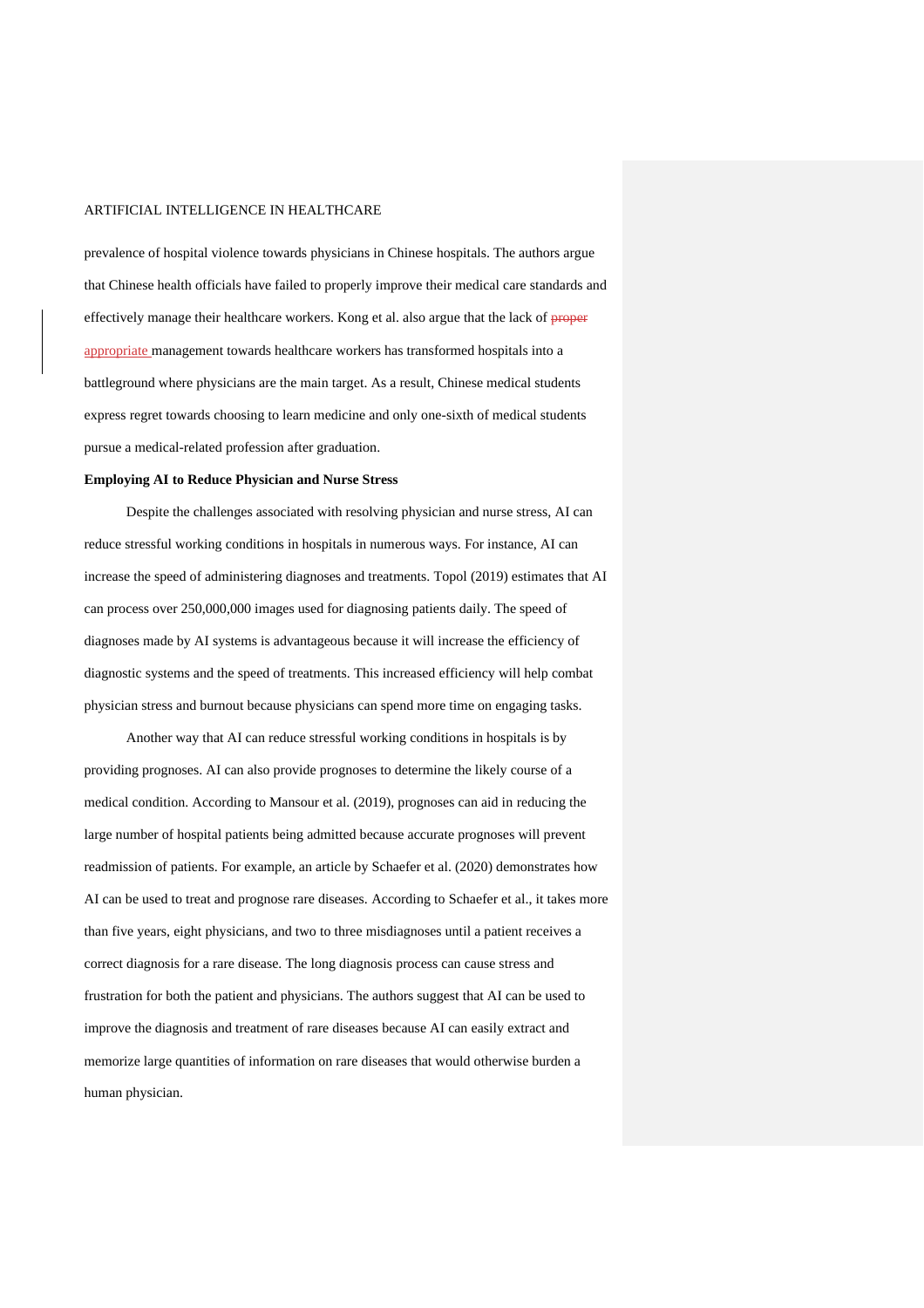prevalence of hospital violence towards physicians in Chinese hospitals. The authors argue that Chinese health officials have failed to properly improve their medical care standards and effectively manage their healthcare workers. Kong et al. also argue that the lack of proper appropriate management towards healthcare workers has transformed hospitals into a battleground where physicians are the main target. As a result, Chinese medical students express regret towards choosing to learn medicine and only one-sixth of medical students pursue a medical-related profession after graduation.

# **Employing AI to Reduce Physician and Nurse Stress**

Despite the challenges associated with resolving physician and nurse stress, AI can reduce stressful working conditions in hospitals in numerous ways. For instance, AI can increase the speed of administering diagnoses and treatments. Topol (2019) estimates that AI can process over 250,000,000 images used for diagnosing patients daily. The speed of diagnoses made by AI systems is advantageous because it will increase the efficiency of diagnostic systems and the speed of treatments. This increased efficiency will help combat physician stress and burnout because physicians can spend more time on engaging tasks.

Another way that AI can reduce stressful working conditions in hospitals is by providing prognoses. AI can also provide prognoses to determine the likely course of a medical condition. According to Mansour et al. (2019), prognoses can aid in reducing the large number of hospital patients being admitted because accurate prognoses will prevent readmission of patients. For example, an article by Schaefer et al. (2020) demonstrates how AI can be used to treat and prognose rare diseases. According to Schaefer et al., it takes more than five years, eight physicians, and two to three misdiagnoses until a patient receives a correct diagnosis for a rare disease. The long diagnosis process can cause stress and frustration for both the patient and physicians. The authors suggest that AI can be used to improve the diagnosis and treatment of rare diseases because AI can easily extract and memorize large quantities of information on rare diseases that would otherwise burden a human physician.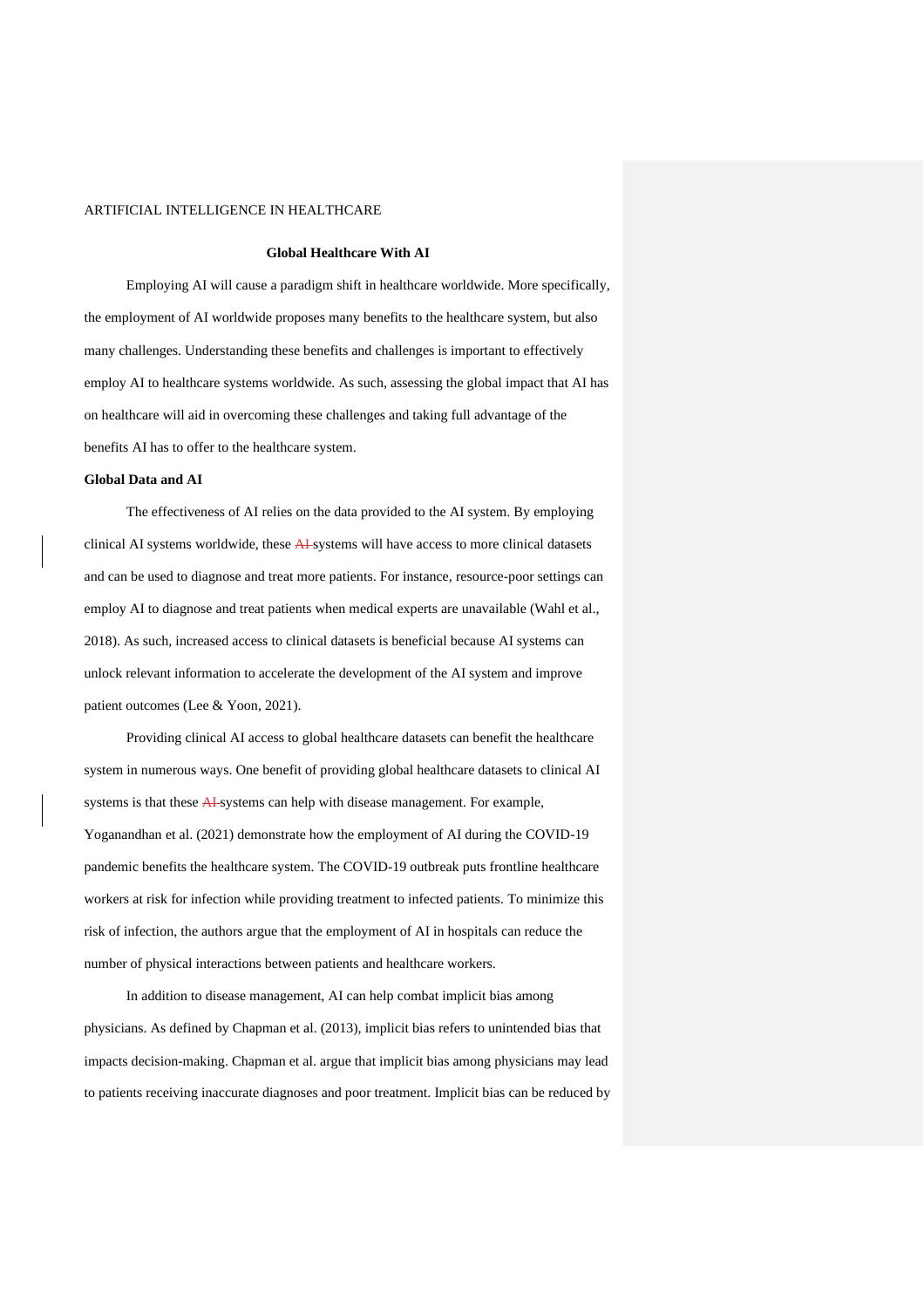### **Global Healthcare With AI**

Employing AI will cause a paradigm shift in healthcare worldwide. More specifically, the employment of AI worldwide proposes many benefits to the healthcare system, but also many challenges. Understanding these benefits and challenges is important to effectively employ AI to healthcare systems worldwide. As such, assessing the global impact that AI has on healthcare will aid in overcoming these challenges and taking full advantage of the benefits AI has to offer to the healthcare system.

#### **Global Data and AI**

The effectiveness of AI relies on the data provided to the AI system. By employing clinical AI systems worldwide, these AI systems will have access to more clinical datasets and can be used to diagnose and treat more patients. For instance, resource-poor settings can employ AI to diagnose and treat patients when medical experts are unavailable (Wahl et al., 2018). As such, increased access to clinical datasets is beneficial because AI systems can unlock relevant information to accelerate the development of the AI system and improve patient outcomes (Lee & Yoon, 2021).

Providing clinical AI access to global healthcare datasets can benefit the healthcare system in numerous ways. One benefit of providing global healthcare datasets to clinical AI systems is that these AI-systems can help with disease management. For example, Yoganandhan et al. (2021) demonstrate how the employment of AI during the COVID-19 pandemic benefits the healthcare system. The COVID-19 outbreak puts frontline healthcare workers at risk for infection while providing treatment to infected patients. To minimize this risk of infection, the authors argue that the employment of AI in hospitals can reduce the number of physical interactions between patients and healthcare workers.

In addition to disease management, AI can help combat implicit bias among physicians. As defined by Chapman et al. (2013), implicit bias refers to unintended bias that impacts decision-making. Chapman et al. argue that implicit bias among physicians may lead to patients receiving inaccurate diagnoses and poor treatment. Implicit bias can be reduced by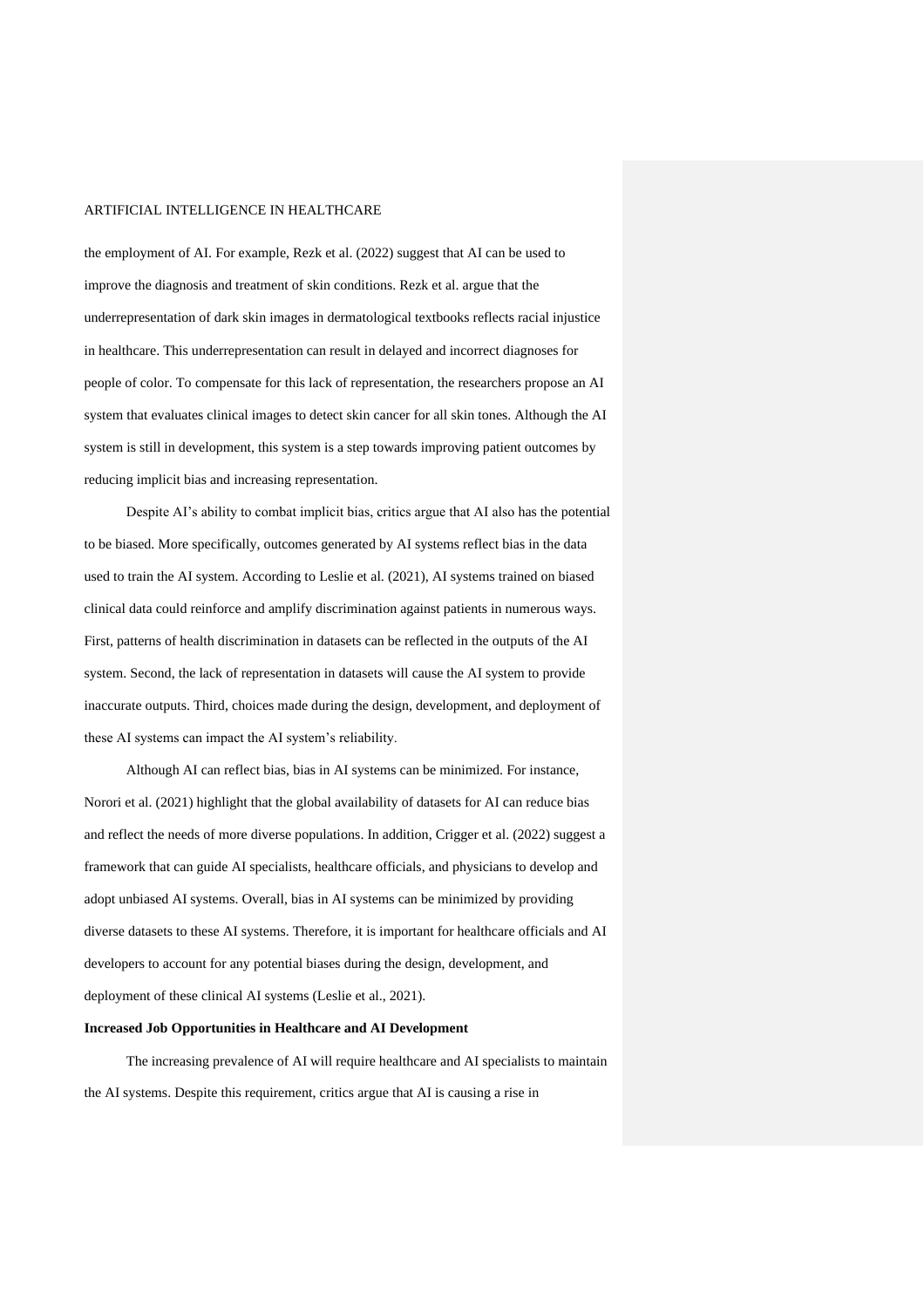the employment of AI. For example, Rezk et al. (2022) suggest that AI can be used to improve the diagnosis and treatment of skin conditions. Rezk et al. argue that the underrepresentation of dark skin images in dermatological textbooks reflects racial injustice in healthcare. This underrepresentation can result in delayed and incorrect diagnoses for people of color. To compensate for this lack of representation, the researchers propose an AI system that evaluates clinical images to detect skin cancer for all skin tones. Although the AI system is still in development, this system is a step towards improving patient outcomes by reducing implicit bias and increasing representation.

Despite AI's ability to combat implicit bias, critics argue that AI also has the potential to be biased. More specifically, outcomes generated by AI systems reflect bias in the data used to train the AI system. According to Leslie et al. (2021), AI systems trained on biased clinical data could reinforce and amplify discrimination against patients in numerous ways. First, patterns of health discrimination in datasets can be reflected in the outputs of the AI system. Second, the lack of representation in datasets will cause the AI system to provide inaccurate outputs. Third, choices made during the design, development, and deployment of these AI systems can impact the AI system's reliability.

Although AI can reflect bias, bias in AI systems can be minimized. For instance, Norori et al. (2021) highlight that the global availability of datasets for AI can reduce bias and reflect the needs of more diverse populations. In addition, Crigger et al. (2022) suggest a framework that can guide AI specialists, healthcare officials, and physicians to develop and adopt unbiased AI systems. Overall, bias in AI systems can be minimized by providing diverse datasets to these AI systems. Therefore, it is important for healthcare officials and AI developers to account for any potential biases during the design, development, and deployment of these clinical AI systems (Leslie et al., 2021).

## **Increased Job Opportunities in Healthcare and AI Development**

The increasing prevalence of AI will require healthcare and AI specialists to maintain the AI systems. Despite this requirement, critics argue that AI is causing a rise in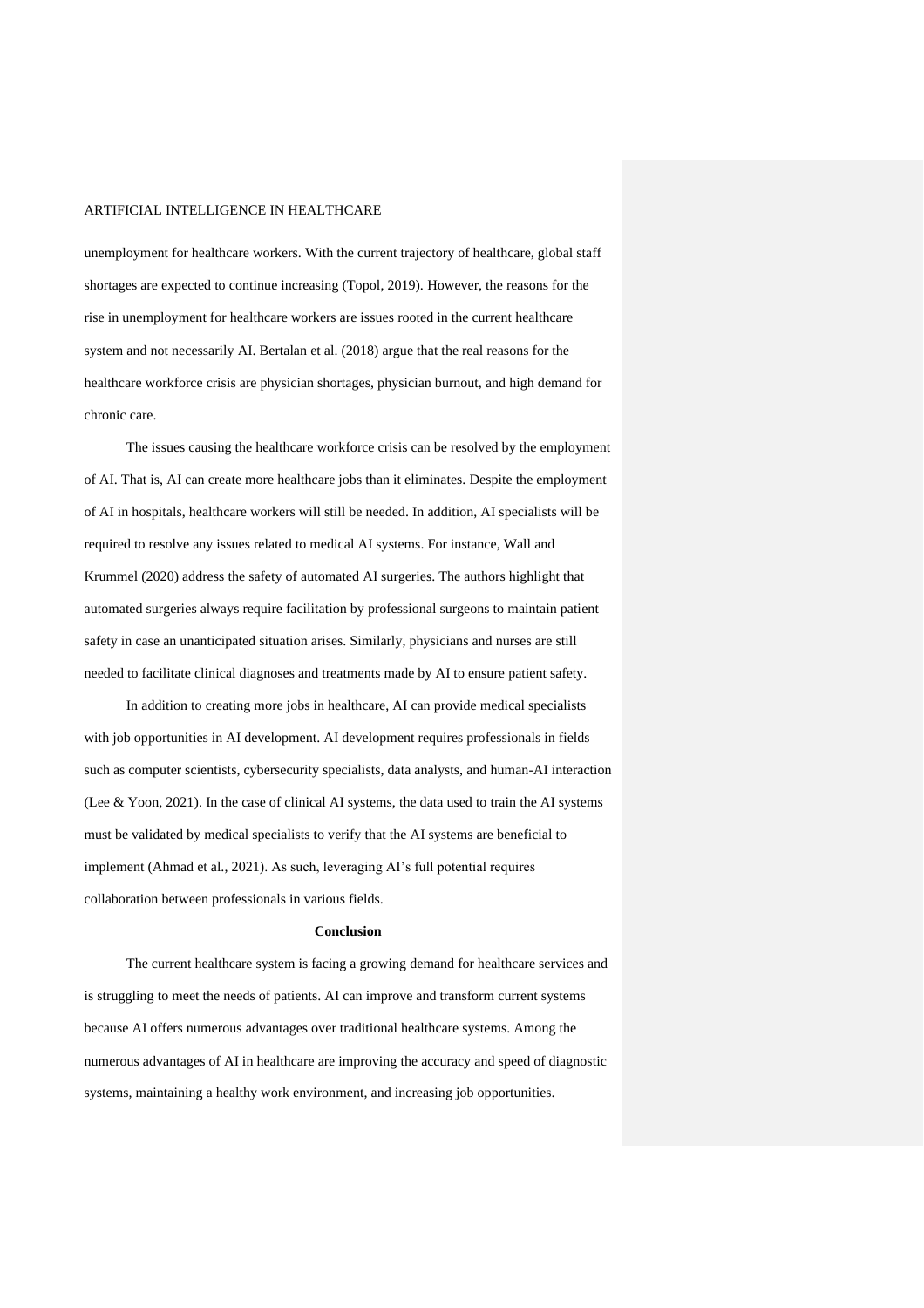unemployment for healthcare workers. With the current trajectory of healthcare, global staff shortages are expected to continue increasing (Topol, 2019). However, the reasons for the rise in unemployment for healthcare workers are issues rooted in the current healthcare system and not necessarily AI. Bertalan et al. (2018) argue that the real reasons for the healthcare workforce crisis are physician shortages, physician burnout, and high demand for chronic care.

The issues causing the healthcare workforce crisis can be resolved by the employment of AI. That is, AI can create more healthcare jobs than it eliminates. Despite the employment of AI in hospitals, healthcare workers will still be needed. In addition, AI specialists will be required to resolve any issues related to medical AI systems. For instance, Wall and Krummel (2020) address the safety of automated AI surgeries. The authors highlight that automated surgeries always require facilitation by professional surgeons to maintain patient safety in case an unanticipated situation arises. Similarly, physicians and nurses are still needed to facilitate clinical diagnoses and treatments made by AI to ensure patient safety.

In addition to creating more jobs in healthcare, AI can provide medical specialists with job opportunities in AI development. AI development requires professionals in fields such as computer scientists, cybersecurity specialists, data analysts, and human-AI interaction (Lee & Yoon, 2021). In the case of clinical AI systems, the data used to train the AI systems must be validated by medical specialists to verify that the AI systems are beneficial to implement (Ahmad et al., 2021). As such, leveraging AI's full potential requires collaboration between professionals in various fields.

#### **Conclusion**

The current healthcare system is facing a growing demand for healthcare services and is struggling to meet the needs of patients. AI can improve and transform current systems because AI offers numerous advantages over traditional healthcare systems. Among the numerous advantages of AI in healthcare are improving the accuracy and speed of diagnostic systems, maintaining a healthy work environment, and increasing job opportunities.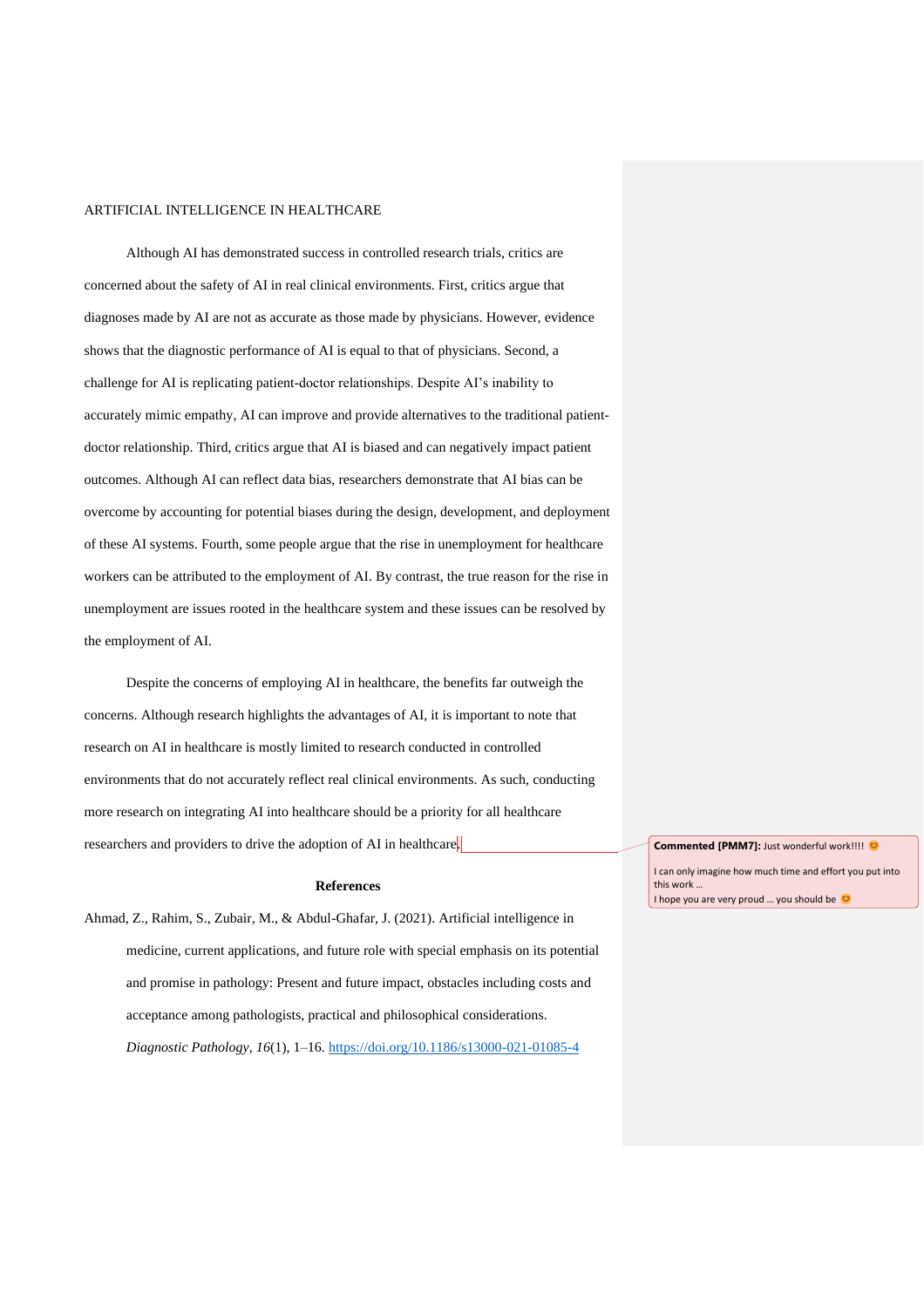Although AI has demonstrated success in controlled research trials, critics are concerned about the safety of AI in real clinical environments. First, critics argue that diagnoses made by AI are not as accurate as those made by physicians. However, evidence shows that the diagnostic performance of AI is equal to that of physicians. Second, a challenge for AI is replicating patient-doctor relationships. Despite AI's inability to accurately mimic empathy, AI can improve and provide alternatives to the traditional patientdoctor relationship. Third, critics argue that AI is biased and can negatively impact patient outcomes. Although AI can reflect data bias, researchers demonstrate that AI bias can be overcome by accounting for potential biases during the design, development, and deployment of these AI systems. Fourth, some people argue that the rise in unemployment for healthcare workers can be attributed to the employment of AI. By contrast, the true reason for the rise in unemployment are issues rooted in the healthcare system and these issues can be resolved by the employment of AI.

Despite the concerns of employing AI in healthcare, the benefits far outweigh the concerns. Although research highlights the advantages of AI, it is important to note that research on AI in healthcare is mostly limited to research conducted in controlled environments that do not accurately reflect real clinical environments. As such, conducting more research on integrating AI into healthcare should be a priority for all healthcare researchers and providers to drive the adoption of AI in healthcare.

#### **References**

Ahmad, Z., Rahim, S., Zubair, M., & Abdul-Ghafar, J. (2021). Artificial intelligence in medicine, current applications, and future role with special emphasis on its potential and promise in pathology: Present and future impact, obstacles including costs and acceptance among pathologists, practical and philosophical considerations. *Diagnostic Pathology*, *16*(1), 1–16.<https://doi.org/10.1186/s13000-021-01085-4>

**Commented [PMM7]:** Just wonderful work!!!! @

I can only imagine how much time and effort you put into this work … I hope you are very proud ... you should be  $\heartsuit$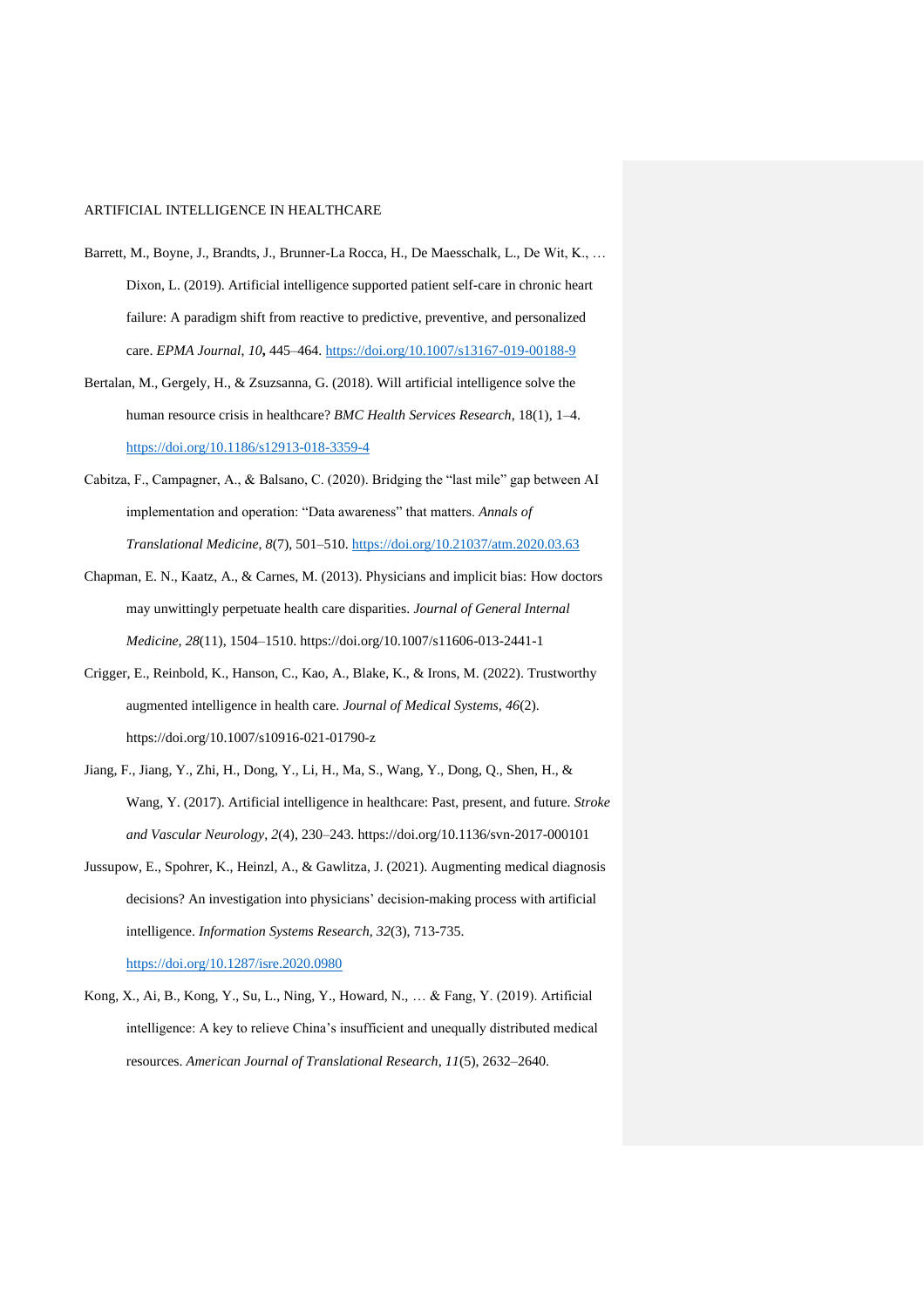- Barrett, M., Boyne, J., Brandts, J., Brunner-La Rocca, H., De Maesschalk, L., De Wit, K., … Dixon, L. (2019). Artificial intelligence supported patient self-care in chronic heart failure: A paradigm shift from reactive to predictive, preventive, and personalized care. *EPMA Journal*, *10***,** 445–464.<https://doi.org/10.1007/s13167-019-00188-9>
- Bertalan, M., Gergely, H., & Zsuzsanna, G. (2018). Will artificial intelligence solve the human resource crisis in healthcare? *BMC Health Services Research*, 18(1), 1–4. <https://doi.org/10.1186/s12913-018-3359-4>
- Cabitza, F., Campagner, A., & Balsano, C. (2020). Bridging the "last mile" gap between AI implementation and operation: "Data awareness" that matters. *Annals of Translational Medicine*, *8*(7), 501–510.<https://doi.org/10.21037/atm.2020.03.63>
- Chapman, E. N., Kaatz, A., & Carnes, M. (2013). Physicians and implicit bias: How doctors may unwittingly perpetuate health care disparities. *Journal of General Internal Medicine*, *28*(11), 1504–1510. https://doi.org/10.1007/s11606-013-2441-1
- Crigger, E., Reinbold, K., Hanson, C., Kao, A., Blake, K., & Irons, M. (2022). Trustworthy augmented intelligence in health care. *Journal of Medical Systems*, *46*(2). https://doi.org/10.1007/s10916-021-01790-z
- Jiang, F., Jiang, Y., Zhi, H., Dong, Y., Li, H., Ma, S., Wang, Y., Dong, Q., Shen, H., & Wang, Y. (2017). Artificial intelligence in healthcare: Past, present, and future. *Stroke and Vascular Neurology*, *2*(4), 230–243. https://doi.org/10.1136/svn-2017-000101
- Jussupow, E., Spohrer, K., Heinzl, A., & Gawlitza, J. (2021). Augmenting medical diagnosis decisions? An investigation into physicians' decision-making process with artificial intelligence. *Information Systems Research*, *32*(3), 713-735. <https://doi.org/10.1287/isre.2020.0980>
- Kong, X., Ai, B., Kong, Y., Su, L., Ning, Y., Howard, N., … & Fang, Y. (2019). Artificial intelligence: A key to relieve China's insufficient and unequally distributed medical resources. *American Journal of Translational Research*, *11*(5), 2632–2640.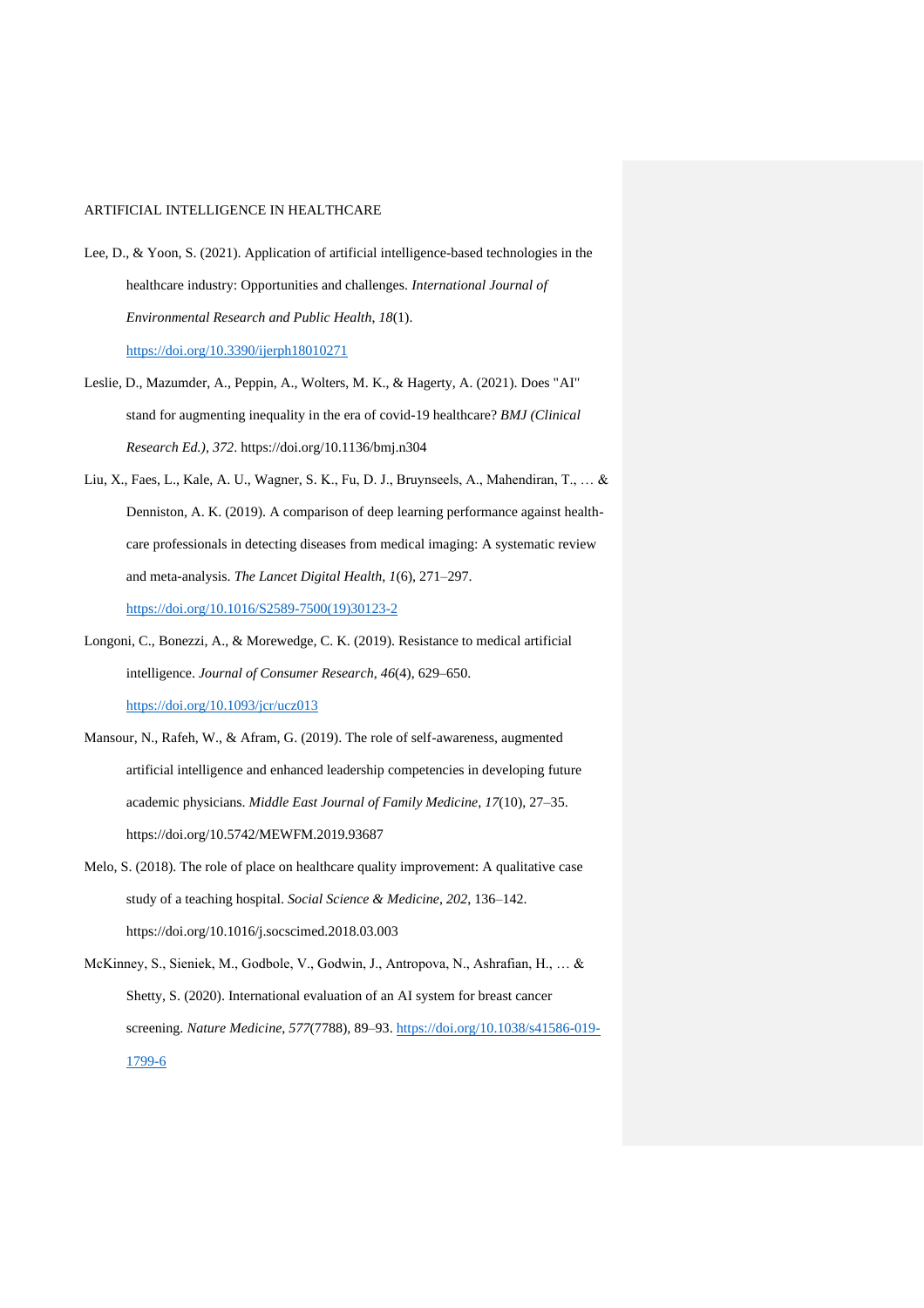- Lee, D., & Yoon, S. (2021). Application of artificial intelligence-based technologies in the healthcare industry: Opportunities and challenges. *International Journal of Environmental Research and Public Health*, *18*(1). <https://doi.org/10.3390/ijerph18010271>
- Leslie, D., Mazumder, A., Peppin, A., Wolters, M. K., & Hagerty, A. (2021). Does "AI" stand for augmenting inequality in the era of covid-19 healthcare? *BMJ (Clinical Research Ed.)*, *372*. https://doi.org/10.1136/bmj.n304
- Liu, X., Faes, L., Kale, A. U., Wagner, S. K., Fu, D. J., Bruynseels, A., Mahendiran, T., … & Denniston, A. K. (2019). A comparison of deep learning performance against healthcare professionals in detecting diseases from medical imaging: A systematic review and meta-analysis. *The Lancet Digital Health*, *1*(6), 271–297. [https://doi.org/10.1016/S2589-7500\(19\)30123-2](https://doi.org/10.1016/S2589-7500(19)30123-2)
- Longoni, C., Bonezzi, A., & Morewedge, C. K. (2019). Resistance to medical artificial intelligence. *Journal of Consumer Research*, *46*(4), 629–650. <https://doi.org/10.1093/jcr/ucz013>
- Mansour, N., Rafeh, W., & Afram, G. (2019). The role of self-awareness, augmented artificial intelligence and enhanced leadership competencies in developing future academic physicians. *Middle East Journal of Family Medicine*, *17*(10), 27–35. https://doi.org/10.5742/MEWFM.2019.93687
- Melo, S. (2018). The role of place on healthcare quality improvement: A qualitative case study of a teaching hospital. *Social Science & Medicine*, *202*, 136–142. https://doi.org/10.1016/j.socscimed.2018.03.003
- McKinney, S., Sieniek, M., Godbole, V., Godwin, J., Antropova, N., Ashrafian, H., … & Shetty, S. (2020). International evaluation of an AI system for breast cancer screening. *Nature Medicine*, *577*(7788), 89–93. [https://doi.org/10.1038/s41586-019-](https://doi.org/10.1038/s41586-019-1799-6) [1799-6](https://doi.org/10.1038/s41586-019-1799-6)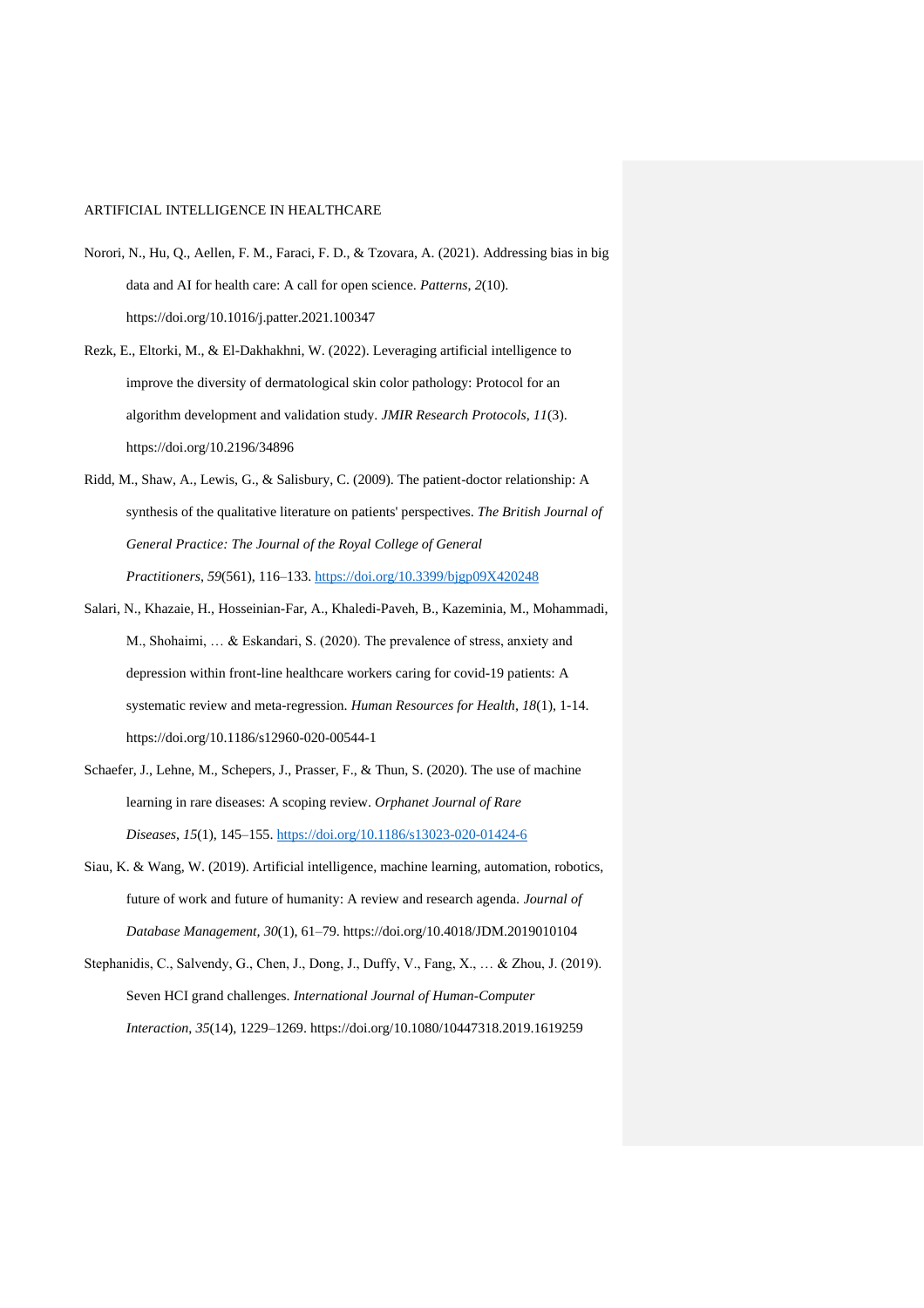- Norori, N., Hu, Q., Aellen, F. M., Faraci, F. D., & Tzovara, A. (2021). Addressing bias in big data and AI for health care: A call for open science. *Patterns*, *2*(10). https://doi.org/10.1016/j.patter.2021.100347
- Rezk, E., Eltorki, M., & El-Dakhakhni, W. (2022). Leveraging artificial intelligence to improve the diversity of dermatological skin color pathology: Protocol for an algorithm development and validation study. *JMIR Research Protocols*, *11*(3). https://doi.org/10.2196/34896
- Ridd, M., Shaw, A., Lewis, G., & Salisbury, C. (2009). The patient-doctor relationship: A synthesis of the qualitative literature on patients' perspectives. *The British Journal of General Practice: The Journal of the Royal College of General Practitioners*, *59*(561), 116–133.<https://doi.org/10.3399/bjgp09X420248>
- Salari, N., Khazaie, H., Hosseinian-Far, A., Khaledi-Paveh, B., Kazeminia, M., Mohammadi, M., Shohaimi, … & Eskandari, S. (2020). The prevalence of stress, anxiety and depression within front-line healthcare workers caring for covid-19 patients: A systematic review and meta-regression. *Human Resources for Health*, *18*(1), 1-14. https://doi.org/10.1186/s12960-020-00544-1
- Schaefer, J., Lehne, M., Schepers, J., Prasser, F., & Thun, S. (2020). The use of machine learning in rare diseases: A scoping review. *Orphanet Journal of Rare Diseases*, *15*(1), 145–155.<https://doi.org/10.1186/s13023-020-01424-6>
- Siau, K. & Wang, W. (2019). Artificial intelligence, machine learning, automation, robotics, future of work and future of humanity: A review and research agenda. *Journal of Database Management, 30*(1), 61–79. https://doi.org/10.4018/JDM.2019010104
- Stephanidis, C., Salvendy, G., Chen, J., Dong, J., Duffy, V., Fang, X., … & Zhou, J. (2019). Seven HCI grand challenges. *International Journal of Human-Computer Interaction*, *35*(14), 1229–1269. https://doi.org/10.1080/10447318.2019.1619259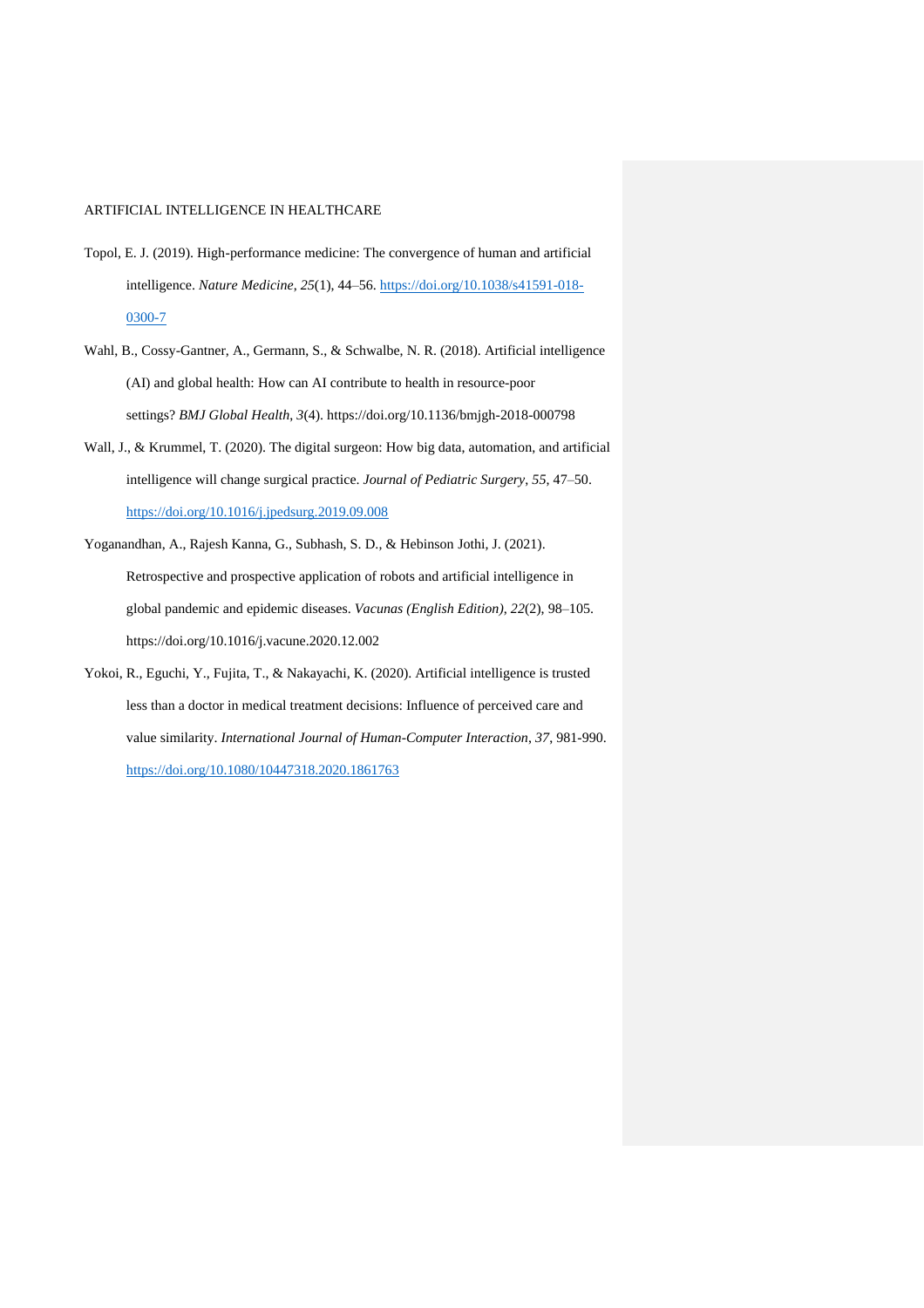- Topol, E. J. (2019). High-performance medicine: The convergence of human and artificial intelligence. *Nature Medicine*, *25*(1), 44–56. [https://doi.org/10.1038/s41591-018-](https://doi.org/10.1038/s41591-018-0300-7) [0300-7](https://doi.org/10.1038/s41591-018-0300-7)
- Wahl, B., Cossy-Gantner, A., Germann, S., & Schwalbe, N. R. (2018). Artificial intelligence (AI) and global health: How can AI contribute to health in resource-poor settings? *BMJ Global Health*, *3*(4). https://doi.org/10.1136/bmjgh-2018-000798
- Wall, J., & Krummel, T. (2020). The digital surgeon: How big data, automation, and artificial intelligence will change surgical practice. *Journal of Pediatric Surgery*, *55*, 47–50. <https://doi.org/10.1016/j.jpedsurg.2019.09.008>
- Yoganandhan, A., Rajesh Kanna, G., Subhash, S. D., & Hebinson Jothi, J. (2021). Retrospective and prospective application of robots and artificial intelligence in global pandemic and epidemic diseases. *Vacunas (English Edition)*, *22*(2), 98–105. https://doi.org/10.1016/j.vacune.2020.12.002
- Yokoi, R., Eguchi, Y., Fujita, T., & Nakayachi, K. (2020). Artificial intelligence is trusted less than a doctor in medical treatment decisions: Influence of perceived care and value similarity. *International Journal of Human-Computer Interaction*, *37*, 981-990. <https://doi.org/10.1080/10447318.2020.1861763>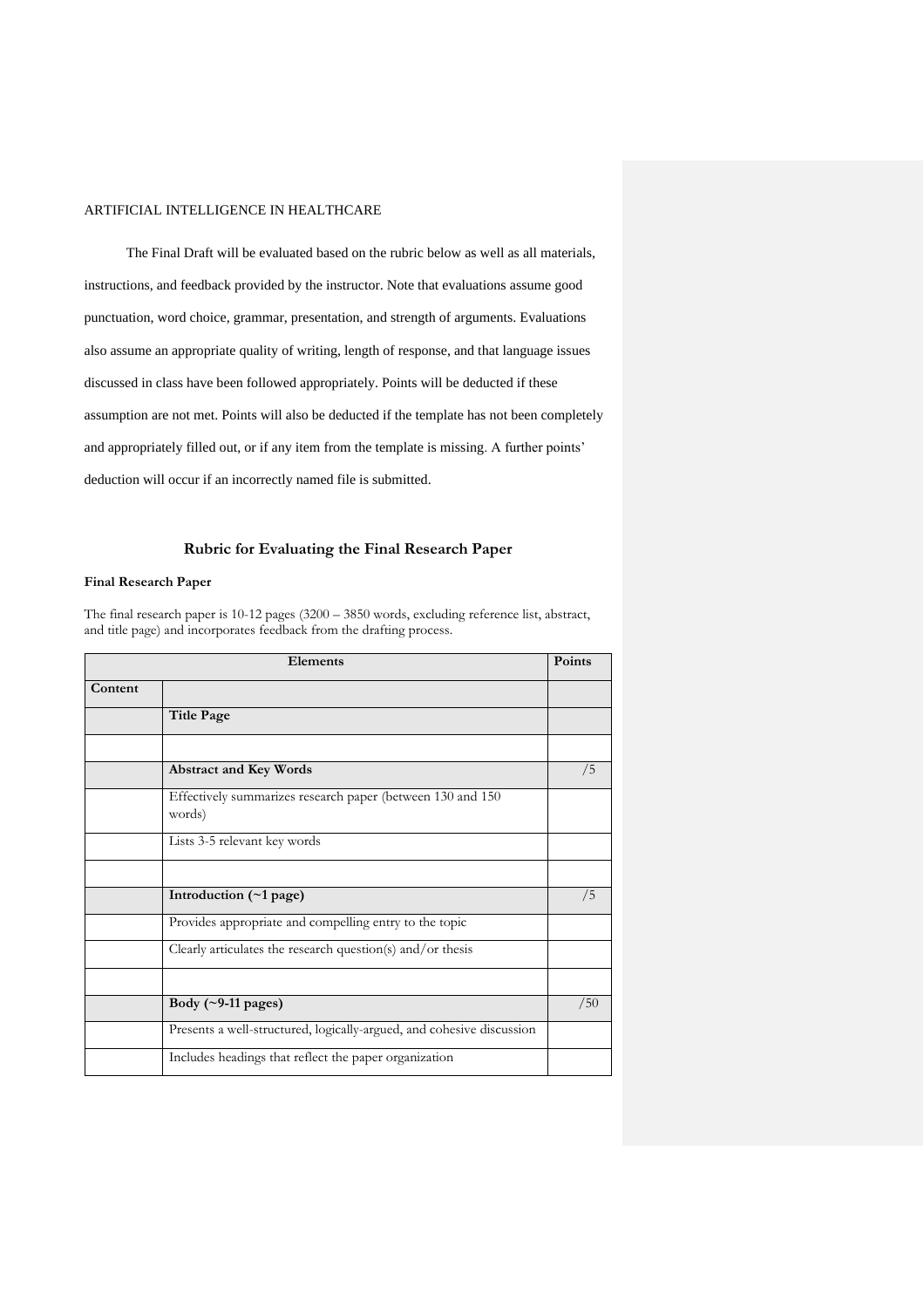The Final Draft will be evaluated based on the rubric below as well as all materials, instructions, and feedback provided by the instructor. Note that evaluations assume good punctuation, word choice, grammar, presentation, and strength of arguments. Evaluations also assume an appropriate quality of writing, length of response, and that language issues discussed in class have been followed appropriately. Points will be deducted if these assumption are not met. Points will also be deducted if the template has not been completely and appropriately filled out, or if any item from the template is missing. A further points' deduction will occur if an incorrectly named file is submitted.

# **Rubric for Evaluating the Final Research Paper**

## **Final Research Paper**

The final research paper is 10-12 pages (3200 – 3850 words, excluding reference list, abstract, and title page) and incorporates feedback from the drafting process.

| Elements |                                                                       | Points |
|----------|-----------------------------------------------------------------------|--------|
| Content  |                                                                       |        |
|          | <b>Title Page</b>                                                     |        |
|          |                                                                       |        |
|          | <b>Abstract and Key Words</b>                                         | /5     |
|          | Effectively summarizes research paper (between 130 and 150<br>words)  |        |
|          | Lists 3-5 relevant key words                                          |        |
|          |                                                                       |        |
|          | Introduction (~1 page)                                                | /5     |
|          | Provides appropriate and compelling entry to the topic                |        |
|          | Clearly articulates the research question(s) and/or thesis            |        |
|          |                                                                       |        |
|          | Body $(\sim 9-11$ pages)                                              | /50    |
|          | Presents a well-structured, logically-argued, and cohesive discussion |        |
|          | Includes headings that reflect the paper organization                 |        |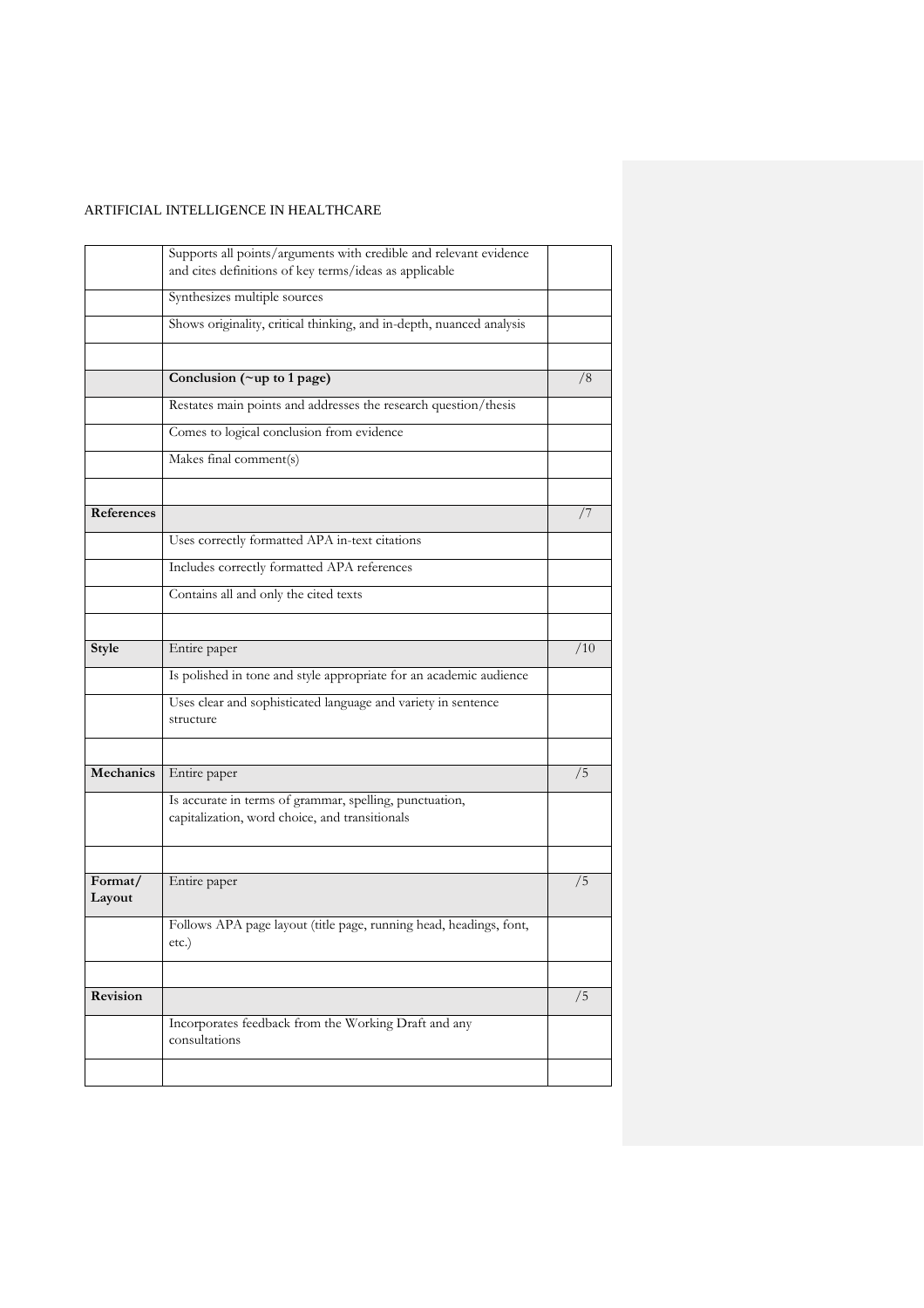|                   | Supports all points/arguments with credible and relevant evidence                                         |     |
|-------------------|-----------------------------------------------------------------------------------------------------------|-----|
|                   | and cites definitions of key terms/ideas as applicable                                                    |     |
|                   | Synthesizes multiple sources                                                                              |     |
|                   | Shows originality, critical thinking, and in-depth, nuanced analysis                                      |     |
|                   |                                                                                                           |     |
|                   | Conclusion (~up to 1 page)                                                                                | /8  |
|                   | Restates main points and addresses the research question/thesis                                           |     |
|                   | Comes to logical conclusion from evidence                                                                 |     |
|                   | Makes final comment(s)                                                                                    |     |
|                   |                                                                                                           |     |
| References        |                                                                                                           | 77  |
|                   | Uses correctly formatted APA in-text citations                                                            |     |
|                   | Includes correctly formatted APA references                                                               |     |
|                   | Contains all and only the cited texts                                                                     |     |
|                   |                                                                                                           |     |
| Style             | Entire paper                                                                                              | /10 |
|                   | Is polished in tone and style appropriate for an academic audience                                        |     |
|                   | Uses clear and sophisticated language and variety in sentence<br>structure                                |     |
|                   |                                                                                                           |     |
| Mechanics         | Entire paper                                                                                              | /5  |
|                   | Is accurate in terms of grammar, spelling, punctuation,<br>capitalization, word choice, and transitionals |     |
|                   |                                                                                                           |     |
| Format/<br>Layout | Entire paper                                                                                              | /5  |
|                   | Follows APA page layout (title page, running head, headings, font,<br>etc.)                               |     |
|                   |                                                                                                           |     |
| Revision          |                                                                                                           | /5  |
|                   | Incorporates feedback from the Working Draft and any<br>consultations                                     |     |
|                   |                                                                                                           |     |